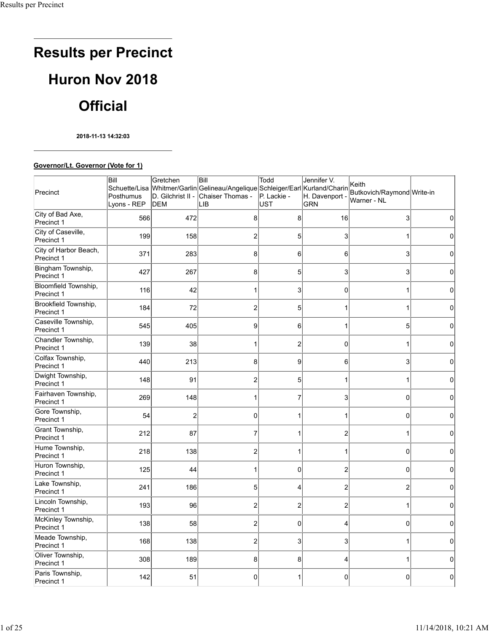# **Results per Precinct Huron Nov 2018 Official**

**2018-11-13 14:32:03**

#### **Governor/Lt. Governor (Vote for 1)**

| Precinct                            | Bill<br>Posthumus<br>Lyons - REP | Gretchen<br>D. Gilchrist II -<br>DEM | Bill<br>Schuette/Lisa Whitmer/Garlin Gelineau/Angelique Schleiger/Earl Kurland/Charin<br><b>Chaiser Thomas -</b><br>LIB | Todd<br>P. Lackie -<br>UST | Jennifer V.<br>H. Davenport -<br><b>GRN</b> | Keith<br>Butkovich/Raymond Write-in<br>lWarner - NL |              |
|-------------------------------------|----------------------------------|--------------------------------------|-------------------------------------------------------------------------------------------------------------------------|----------------------------|---------------------------------------------|-----------------------------------------------------|--------------|
| City of Bad Axe,<br>Precinct 1      | 566                              | 472                                  | 8                                                                                                                       | 8                          | 16                                          | 3                                                   | 0            |
| City of Caseville,<br>Precinct 1    | 199                              | 158                                  | 2                                                                                                                       | 5                          | 3                                           | 1                                                   | 0            |
| City of Harbor Beach,<br>Precinct 1 | 371                              | 283                                  | 8                                                                                                                       | 6                          | 6                                           | 3                                                   | 0            |
| Bingham Township,<br>Precinct 1     | 427                              | 267                                  | 8                                                                                                                       | 5                          | 3                                           | 3                                                   | 0            |
| Bloomfield Township,<br>Precinct 1  | 116                              | 42                                   |                                                                                                                         | 3                          | 0                                           | 1                                                   | 0            |
| Brookfield Township,<br>Precinct 1  | 184                              | 72                                   | 2                                                                                                                       | 5                          |                                             | 1                                                   | 0            |
| Caseville Township,<br>Precinct 1   | 545                              | 405                                  | 9                                                                                                                       | 6                          |                                             | 5                                                   | 0            |
| Chandler Township,<br>Precinct 1    | 139                              | 38                                   |                                                                                                                         | $\overline{2}$             | 0                                           | 1                                                   | 0            |
| Colfax Township,<br>Precinct 1      | 440                              | 213                                  | 8                                                                                                                       | 9                          | 6                                           | 3                                                   | 0            |
| Dwight Township,<br>Precinct 1      | 148                              | 91                                   | 2                                                                                                                       | 5                          |                                             | 1                                                   | $\Omega$     |
| Fairhaven Township,<br>Precinct 1   | 269                              | 148                                  |                                                                                                                         | 7                          | 3                                           | $\Omega$                                            | 0            |
| Gore Township,<br>Precinct 1        | 54                               | $\overline{c}$                       | 0                                                                                                                       | 1                          |                                             | $\Omega$                                            | $\Omega$     |
| Grant Township,<br>Precinct 1       | 212                              | 87                                   |                                                                                                                         |                            |                                             | 1                                                   | $\Omega$     |
| Hume Township,<br>Precinct 1        | 218                              | 138                                  | 2                                                                                                                       |                            |                                             | $\mathbf 0$                                         | $\Omega$     |
| Huron Township,<br>Precinct 1       | 125                              | 44                                   |                                                                                                                         | $\Omega$                   | 2                                           | $\mathbf 0$                                         | 0            |
| Lake Township,<br>Precinct 1        | 241                              | 186                                  | 5                                                                                                                       | 4                          | 2                                           | $\overline{2}$                                      | 0            |
| Lincoln Township,<br>Precinct 1     | 193                              | 96                                   | 2                                                                                                                       | $\overline{c}$             | 2                                           | 1                                                   | $\Omega$     |
| McKinley Township,<br>Precinct 1    | 138                              | 58                                   | 2                                                                                                                       | $\mathbf 0$                |                                             | 0                                                   | $\mathbf{0}$ |
| Meade Township,<br>Precinct 1       | 168                              | 138                                  | 2                                                                                                                       | 3                          | 3                                           | 1                                                   | $\Omega$     |
| Oliver Township,<br>Precinct 1      | 308                              | 189                                  | 8                                                                                                                       | 8                          | 4                                           | $\mathbf 1$                                         | 0            |
| Paris Township,<br>Precinct 1       | 142                              | 51                                   | 0                                                                                                                       |                            | 0                                           | $\mathbf{0}$                                        | 0            |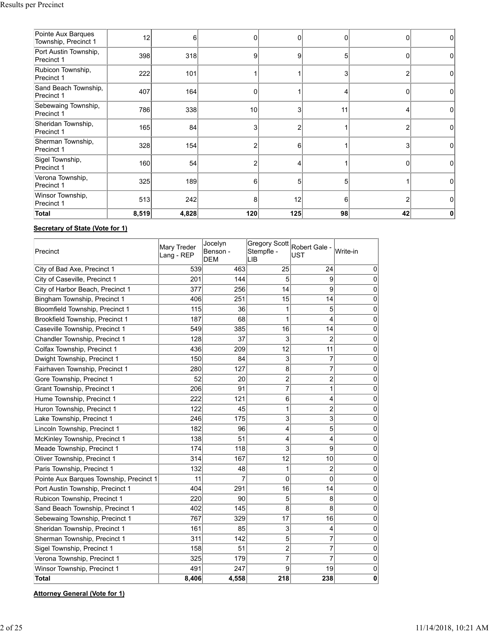| Pointe Aux Barques<br>Township, Precinct 1 | 12    | 6     |     |     |    | 0  | 0        |
|--------------------------------------------|-------|-------|-----|-----|----|----|----------|
| Port Austin Township,<br>Precinct 1        | 398   | 318   | 9   | 9   | 5  | 0  | $\Omega$ |
| Rubicon Township,<br>Precinct 1            | 222   | 101   |     |     |    | 2  | 0        |
| Sand Beach Township,<br>Precinct 1         | 407   | 164   |     |     |    | 0  | $\Omega$ |
| Sebewaing Township,<br>Precinct 1          | 786   | 338   | 10  | 3   | 11 | 4  | $\Omega$ |
| Sheridan Township,<br>Precinct 1           | 165   | 84    |     |     |    | 2  | 0        |
| Sherman Township,<br>Precinct 1            | 328   | 154   |     | 6   |    | 3  | $\Omega$ |
| Sigel Township,<br>Precinct 1              | 160   | 54    |     | 4   |    | 0  | 0        |
| Verona Township,<br>Precinct 1             | 325   | 189   | 6   | 5   |    |    | $\Omega$ |
| Winsor Township,<br>Precinct 1             | 513   | 242   | 8   | 12  | 6  | 2  | $\Omega$ |
| <b>Total</b>                               | 8,519 | 4,828 | 120 | 125 | 98 | 42 |          |

## **Secretary of State (Vote for 1)**

| Precinct                                | Mary Treder<br>Lang - REP | Jocelyn<br>Benson -<br><b>DEM</b> | Stempfle -<br>LIB | Gregory Scott Robert Gale -<br><b>UST</b> | Write-in    |
|-----------------------------------------|---------------------------|-----------------------------------|-------------------|-------------------------------------------|-------------|
| City of Bad Axe, Precinct 1             | 539                       | 463                               | 25                | 24                                        | $\mathbf 0$ |
| City of Caseville, Precinct 1           | 201                       | 144                               | 5                 | 9                                         | $\mathbf 0$ |
| City of Harbor Beach, Precinct 1        | 377                       | 256                               | 14                | 9                                         | $\pmb{0}$   |
| Bingham Township, Precinct 1            | 406                       | 251                               | 15                | 14                                        | $\mathbf 0$ |
| Bloomfield Township, Precinct 1         | 115                       | 36                                | 1                 | 5                                         | $\mathbf 0$ |
| Brookfield Township, Precinct 1         | 187                       | 68                                | 1                 | 4                                         | $\pmb{0}$   |
| Caseville Township, Precinct 1          | 549                       | 385                               | 16                | 14                                        | $\pmb{0}$   |
| Chandler Township, Precinct 1           | 128                       | 37                                | 3                 | $\overline{2}$                            | $\mathbf 0$ |
| Colfax Township, Precinct 1             | 436                       | 209                               | 12                | 11                                        | $\pmb{0}$   |
| Dwight Township, Precinct 1             | 150                       | 84                                | 3                 | $\overline{7}$                            | $\pmb{0}$   |
| Fairhaven Township, Precinct 1          | 280                       | 127                               | 8                 | 7                                         | $\mathbf 0$ |
| Gore Township, Precinct 1               | 52                        | 20                                | 2                 | 2                                         | $\bf{0}$    |
| Grant Township, Precinct 1              | 206                       | 91                                | $\overline{7}$    | 1                                         | $\pmb{0}$   |
| Hume Township, Precinct 1               | 222                       | 121                               | 6                 | 4                                         | $\mathbf 0$ |
| Huron Township, Precinct 1              | 122                       | 45                                | 1                 | 2                                         | $\bf{0}$    |
| Lake Township, Precinct 1               | 246                       | 175                               | 3                 | 3                                         | $\pmb{0}$   |
| Lincoln Township, Precinct 1            | 182                       | 96                                | 4                 | 5                                         | $\mathbf 0$ |
| McKinley Township, Precinct 1           | 138                       | 51                                | 4                 | 4                                         | 0           |
| Meade Township, Precinct 1              | 174                       | 118                               | 3                 | 9                                         | $\pmb{0}$   |
| Oliver Township, Precinct 1             | 314                       | 167                               | 12                | 10                                        | $\mathbf 0$ |
| Paris Township, Precinct 1              | 132                       | 48                                | 1                 | 2                                         | $\mathbf 0$ |
| Pointe Aux Barques Township, Precinct 1 | 11                        | 7                                 | 0                 | 0                                         | $\pmb{0}$   |
| Port Austin Township, Precinct 1        | 404                       | 291                               | 16                | 14                                        | $\pmb{0}$   |
| Rubicon Township, Precinct 1            | 220                       | 90                                | 5                 | 8                                         | $\mathbf 0$ |
| Sand Beach Township, Precinct 1         | 402                       | 145                               | 8                 | 8                                         | $\mathbf 0$ |
| Sebewaing Township, Precinct 1          | 767                       | 329                               | 17                | 16                                        | $\pmb{0}$   |
| Sheridan Township, Precinct 1           | 161                       | 85                                | 3                 | 4                                         | $\mathbf 0$ |
| Sherman Township, Precinct 1            | 311                       | 142                               | 5                 | 7                                         | $\pmb{0}$   |
| Sigel Township, Precinct 1              | 158                       | 51                                | $\overline{c}$    | $\overline{7}$                            | $\mathbf 0$ |
| Verona Township, Precinct 1             | 325                       | 179                               | 7                 | 7                                         | $\mathbf 0$ |
| Winsor Township, Precinct 1             | 491                       | 247                               | 9                 | 19                                        | $\bf{0}$    |
| <b>Total</b>                            | 8,406                     | 4,558                             | 218               | 238                                       | 0           |

**Attorney General (Vote for 1)**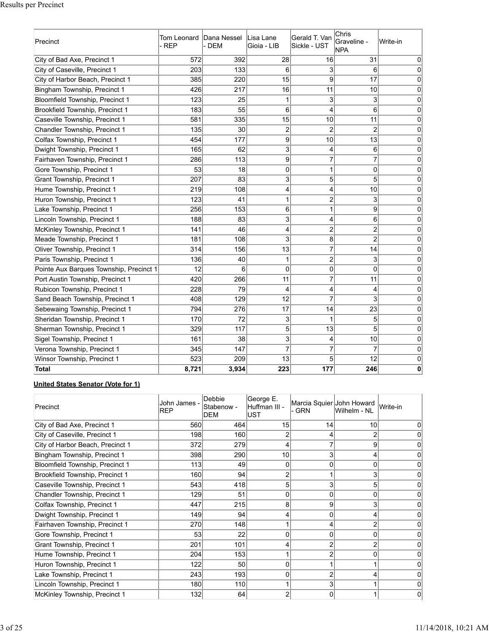| Precinct                                | Tom Leonard<br>- REP | Dana Nessel<br>- DEM | ILisa Lane<br>Gioia - LIB | Gerald T. Van<br>Sickle - UST | Chris<br>Graveline -<br><b>NPA</b> | Write-in |
|-----------------------------------------|----------------------|----------------------|---------------------------|-------------------------------|------------------------------------|----------|
| City of Bad Axe, Precinct 1             | 572                  | 392                  | 28                        | 16                            | 31                                 | 0        |
| City of Caseville, Precinct 1           | 203                  | 133                  | 6                         | 3                             | 6                                  | 0        |
| City of Harbor Beach, Precinct 1        | 385                  | 220                  | 15                        | 9                             | 17                                 | 0        |
| Bingham Township, Precinct 1            | 426                  | 217                  | 16                        | 11                            | 10                                 | 0        |
| Bloomfield Township, Precinct 1         | 123                  | 25                   | 1                         | 3                             | 3                                  | 0        |
| Brookfield Township, Precinct 1         | 183                  | 55                   | 6                         | 4                             | 6                                  | 0        |
| Caseville Township, Precinct 1          | 581                  | 335                  | 15                        | 10                            | 11                                 | 0        |
| Chandler Township, Precinct 1           | 135                  | 30                   | 2                         | $\overline{2}$                | $\overline{2}$                     | 0        |
| Colfax Township, Precinct 1             | 454                  | 177                  | 9                         | 10                            | 13                                 | 0        |
| Dwight Township, Precinct 1             | 165                  | 62                   | 3                         | 4                             | 6                                  | 0        |
| Fairhaven Township, Precinct 1          | 286                  | 113                  | 9                         | 7                             | 7                                  | 0        |
| Gore Township, Precinct 1               | 53                   | 18                   | 0                         | 1                             | $\mathbf 0$                        | 0        |
| <b>Grant Township, Precinct 1</b>       | 207                  | 83                   | 3                         | 5                             | 5                                  | 0        |
| Hume Township, Precinct 1               | 219                  | 108                  | 4                         | 4                             | 10                                 | 0        |
| Huron Township, Precinct 1              | 123                  | 41                   | 1                         | $\overline{c}$                | 3                                  | 0        |
| Lake Township, Precinct 1               | 256                  | 153                  | 6                         | 1                             | 9                                  | 0        |
| Lincoln Township, Precinct 1            | 188                  | 83                   | 3                         | $\overline{4}$                | 6                                  | 0        |
| McKinley Township, Precinct 1           | 141                  | 46                   | 4                         | $\overline{c}$                | $\overline{c}$                     | 0        |
| Meade Township, Precinct 1              | 181                  | 108                  | 3                         | 8                             | $\overline{2}$                     | 0        |
| Oliver Township, Precinct 1             | 314                  | 156                  | 13                        | $\overline{7}$                | 14                                 | 0        |
| Paris Township, Precinct 1              | 136                  | 40                   | 1                         | $\overline{c}$                | 3                                  | 0        |
| Pointe Aux Barques Township, Precinct 1 | 12                   | 6                    | 0                         | 0                             | $\mathbf 0$                        | 0        |
| Port Austin Township, Precinct 1        | 420                  | 266                  | 11                        | 7                             | 11                                 | 0        |
| Rubicon Township, Precinct 1            | 228                  | 79                   | 4                         | 4                             | $\overline{4}$                     | 0        |
| Sand Beach Township, Precinct 1         | 408                  | 129                  | 12                        | 7                             | 3                                  | 0        |
| Sebewaing Township, Precinct 1          | 794                  | 276                  | 17                        | 14                            | 23                                 | 0        |
| Sheridan Township, Precinct 1           | 170                  | 72                   | 3                         | 1                             | 5                                  | 0        |
| Sherman Township, Precinct 1            | 329                  | 117                  | 5                         | 13                            | 5                                  | 0        |
| Sigel Township, Precinct 1              | 161                  | 38                   | 3                         | $\overline{4}$                | 10                                 | 0        |
| Verona Township, Precinct 1             | 345                  | 147                  | $\overline{7}$            | 7                             | $\overline{7}$                     | 0        |
| Winsor Township, Precinct 1             | 523                  | 209                  | 13                        | 5                             | 12                                 | 0        |
| Total                                   | 8,721                | 3,934                | 223                       | 177                           | 246                                | 0        |

### **United States Senator (Vote for 1)**

| Precinct                         | John James -<br>REP | Debbie<br>Stabenow -<br>DEM | George E.<br>Huffman III -<br>lust | Marcia Squier John Howard<br>- GRN | Wilhelm - NL | Write-in |
|----------------------------------|---------------------|-----------------------------|------------------------------------|------------------------------------|--------------|----------|
| City of Bad Axe, Precinct 1      | 560                 | 464                         | 15                                 | 14                                 | 10           |          |
| City of Caseville, Precinct 1    | 198                 | 160                         | 2                                  |                                    |              |          |
| City of Harbor Beach, Precinct 1 | 372                 | 279                         | 4                                  |                                    | 9            |          |
| Bingham Township, Precinct 1     | 398                 | 290                         | 10                                 | 3                                  | 4            |          |
| Bloomfield Township, Precinct 1  | 113                 | 49                          | 0                                  |                                    | 0            |          |
| Brookfield Township, Precinct 1  | 160                 | 94                          | 2                                  |                                    |              |          |
| Caseville Township, Precinct 1   | 543                 | 418                         | 5                                  |                                    | 5            |          |
| Chandler Township, Precinct 1    | 129                 | 51                          | 0                                  |                                    | 0            |          |
| Colfax Township, Precinct 1      | 447                 | 215                         | 8                                  | 9                                  | 3            |          |
| Dwight Township, Precinct 1      | 149                 | 94                          |                                    |                                    | 4            |          |
| Fairhaven Township, Precinct 1   | 270                 | 148                         |                                    |                                    |              |          |
| Gore Township, Precinct 1        | 53                  | 22                          | $\Omega$                           |                                    |              |          |
| Grant Township, Precinct 1       | 201                 | 101                         | 4                                  |                                    | 2            |          |
| Hume Township, Precinct 1        | 204                 | 153                         |                                    |                                    | 0            |          |
| Huron Township, Precinct 1       | 122                 | 50                          | 0                                  |                                    |              |          |
| Lake Township, Precinct 1        | 243                 | 193                         | 0                                  |                                    | 4            |          |
| Lincoln Township, Precinct 1     | 180                 | 110                         |                                    |                                    |              |          |
| McKinley Township, Precinct 1    | 132                 | 64                          |                                    |                                    |              |          |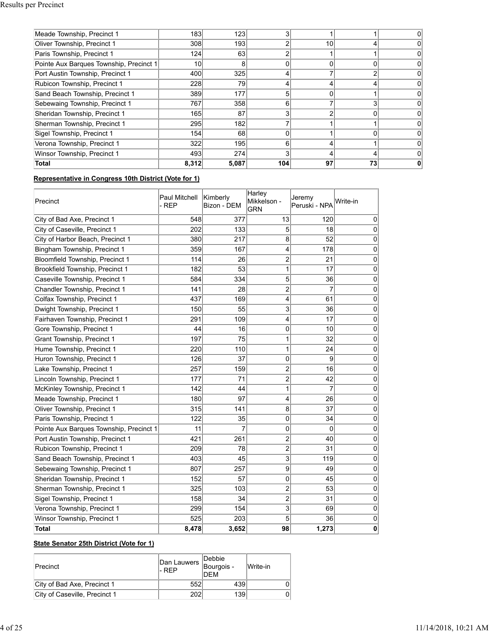| Meade Township, Precinct 1              | 183   | 123              | З   |    |    |  |
|-----------------------------------------|-------|------------------|-----|----|----|--|
| Oliver Township, Precinct 1             | 308   | 193 <sup>1</sup> | 2   | 10 |    |  |
| Paris Township, Precinct 1              | 124   | 63               | r   |    |    |  |
| Pointe Aux Barques Township, Precinct 1 | 10    | 8                | 0   |    |    |  |
| Port Austin Township, Precinct 1        | 400   | 325              | 4   |    |    |  |
| Rubicon Township, Precinct 1            | 228   | 79               | 4   |    |    |  |
| Sand Beach Township, Precinct 1         | 389   | 177              | 5   |    |    |  |
| Sebewaing Township, Precinct 1          | 767   | 358              | 6   |    |    |  |
| Sheridan Township, Precinct 1           | 165   | 87               | 3   |    |    |  |
| Sherman Township, Precinct 1            | 295   | 182              |     |    |    |  |
| Sigel Township, Precinct 1              | 154   | 68               | 0   |    |    |  |
| Verona Township, Precinct 1             | 322   | 195              | 6   |    |    |  |
| Winsor Township, Precinct 1             | 493   | 274              | 3   |    |    |  |
| Total                                   | 8,312 | 5,087            | 104 | 97 | 73 |  |

# **Representative in Congress 10th District (Vote for 1)**

| Precinct                                | Paul Mitchell<br>- REP | Kimberly<br>Bizon - DEM | Harley<br>Mikkelson -<br><b>GRN</b> | Jeremy<br>Peruski - NPA | Write-in         |
|-----------------------------------------|------------------------|-------------------------|-------------------------------------|-------------------------|------------------|
| City of Bad Axe, Precinct 1             | 548                    | 377                     | 13                                  | 120                     | $\mathbf 0$      |
| City of Caseville, Precinct 1           | 202                    | 133                     | 5                                   | 18                      | $\boldsymbol{0}$ |
| City of Harbor Beach, Precinct 1        | 380                    | 217                     | 8                                   | 52                      | $\mathbf 0$      |
| Bingham Township, Precinct 1            | 359                    | 167                     | 4                                   | 178                     | $\pmb{0}$        |
| Bloomfield Township, Precinct 1         | 114                    | 26                      | 2                                   | 21                      | $\pmb{0}$        |
| Brookfield Township, Precinct 1         | 182                    | 53                      | 1                                   | 17                      | $\mathbf 0$      |
| Caseville Township, Precinct 1          | 584                    | 334                     | 5                                   | 36                      | $\mathbf 0$      |
| Chandler Township, Precinct 1           | 141                    | 28                      | $\overline{\mathbf{c}}$             | $\overline{7}$          | $\pmb{0}$        |
| Colfax Township, Precinct 1             | 437                    | 169                     | 4                                   | 61                      | $\mathbf 0$      |
| Dwight Township, Precinct 1             | 150                    | 55                      | 3                                   | 36                      | $\pmb{0}$        |
| Fairhaven Township, Precinct 1          | 291                    | 109                     | 4                                   | 17                      | $\pmb{0}$        |
| Gore Township, Precinct 1               | 44                     | 16                      | $\mathbf{0}$                        | 10                      | $\pmb{0}$        |
| Grant Township, Precinct 1              | 197                    | 75                      | 1                                   | 32                      | $\mathbf 0$      |
| Hume Township, Precinct 1               | 220                    | 110                     | 1                                   | 24                      | $\pmb{0}$        |
| Huron Township, Precinct 1              | 126                    | 37                      | 0                                   | 9                       | $\pmb{0}$        |
| Lake Township, Precinct 1               | 257                    | 159                     | 2                                   | 16                      | $\bf{0}$         |
| Lincoln Township, Precinct 1            | 177                    | 71                      | $\overline{2}$                      | 42                      | $\boldsymbol{0}$ |
| McKinley Township, Precinct 1           | 142                    | 44                      | 1                                   | $\overline{7}$          | $\mathbf 0$      |
| Meade Township, Precinct 1              | 180                    | 97                      | 4                                   | 26                      | $\mathbf 0$      |
| Oliver Township, Precinct 1             | 315                    | 141                     | 8                                   | 37                      | $\mathbf 0$      |
| Paris Township, Precinct 1              | 122                    | 35                      | 0                                   | 34                      | $\pmb{0}$        |
| Pointe Aux Barques Township, Precinct 1 | 11                     | $\overline{7}$          | 0                                   | 0                       | $\pmb{0}$        |
| Port Austin Township, Precinct 1        | 421                    | 261                     | $\overline{2}$                      | 40                      | $\pmb{0}$        |
| Rubicon Township, Precinct 1            | 209                    | 78                      | 2                                   | 31                      | $\pmb{0}$        |
| Sand Beach Township, Precinct 1         | 403                    | 45                      | 3                                   | 119                     | $\pmb{0}$        |
| Sebewaing Township, Precinct 1          | 807                    | 257                     | 9                                   | 49                      | $\pmb{0}$        |
| Sheridan Township, Precinct 1           | 152                    | 57                      | 0                                   | 45                      | $\pmb{0}$        |
| Sherman Township, Precinct 1            | 325                    | 103                     | $\overline{2}$                      | 53                      | $\mathbf 0$      |
| Sigel Township, Precinct 1              | 158                    | 34                      | $\overline{2}$                      | 31                      | 0                |
| Verona Township, Precinct 1             | 299                    | 154                     | 3                                   | 69                      | $\boldsymbol{0}$ |
| Winsor Township, Precinct 1             | 525                    | 203                     | 5                                   | 36                      | $\pmb{0}$        |
| <b>Total</b>                            | 8,478                  | 3,652                   | 98                                  | 1,273                   | 0                |

# **State Senator 25th District (Vote for 1)**

| <b>Precinct</b>               | Dan Lauwers   Bourgois -<br>I-RFP | <b>IDebbie</b><br><b>DFM</b> | Write-in |
|-------------------------------|-----------------------------------|------------------------------|----------|
| City of Bad Axe, Precinct 1   | 552                               | 439                          |          |
| City of Caseville, Precinct 1 |                                   | 139                          |          |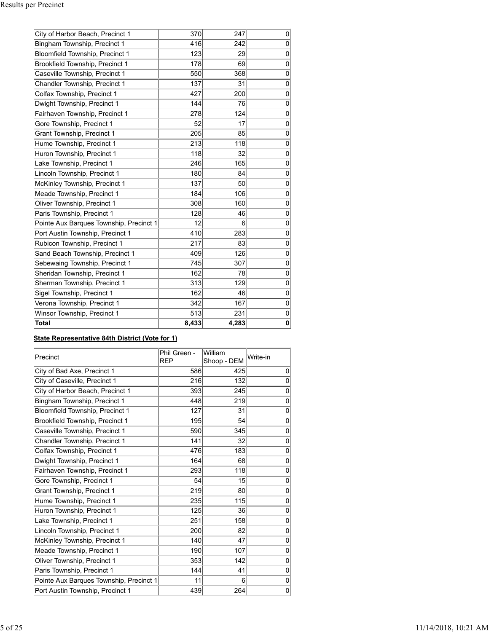| City of Harbor Beach, Precinct 1        | 370   | 247   | 0              |
|-----------------------------------------|-------|-------|----------------|
| Bingham Township, Precinct 1            | 416   | 242   | $\mathbf 0$    |
| Bloomfield Township, Precinct 1         | 123   | 29    | $\mathbf 0$    |
| Brookfield Township, Precinct 1         | 178   | 69    | $\mathbf 0$    |
| Caseville Township, Precinct 1          | 550   | 368   | 0              |
| Chandler Township, Precinct 1           | 137   | 31    | 0              |
| Colfax Township, Precinct 1             | 427   | 200   | 0              |
| Dwight Township, Precinct 1             | 144   | 76    | $\mathbf 0$    |
| Fairhaven Township, Precinct 1          | 278   | 124   | $\overline{0}$ |
| Gore Township, Precinct 1               | 52    | 17    | $\mathbf 0$    |
| Grant Township, Precinct 1              | 205   | 85    | 0              |
| Hume Township, Precinct 1               | 213   | 118   | $\mathbf 0$    |
| Huron Township, Precinct 1              | 118   | 32    | 0              |
| Lake Township, Precinct 1               | 246   | 165   | $\mathbf 0$    |
| Lincoln Township, Precinct 1            | 180   | 84    | $\overline{0}$ |
| McKinley Township, Precinct 1           | 137   | 50    | 0              |
| Meade Township, Precinct 1              | 184   | 106   | 0              |
| Oliver Township, Precinct 1             | 308   | 160   | $\mathbf 0$    |
| Paris Township, Precinct 1              | 128   | 46    | 0              |
| Pointe Aux Barques Township, Precinct 1 | 12    | 6     | $\mathbf 0$    |
| Port Austin Township, Precinct 1        | 410   | 283   | 0              |
| Rubicon Township, Precinct 1            | 217   | 83    | 0              |
| Sand Beach Township, Precinct 1         | 409   | 126   | $\mathbf 0$    |
| Sebewaing Township, Precinct 1          | 745   | 307   | 0              |
| Sheridan Township, Precinct 1           | 162   | 78    | 0              |
| Sherman Township, Precinct 1            | 313   | 129   | 0              |
| Sigel Township, Precinct 1              | 162   | 46    | 0              |
| Verona Township, Precinct 1             | 342   | 167   | 0              |
| Winsor Township, Precinct 1             | 513   | 231   | 0              |
| <b>Total</b>                            | 8,433 | 4,283 | 0              |

# **State Representative 84th District (Vote for 1)**

| Precinct                                | Phil Green -<br><b>REP</b> | William<br>Shoop - DEM | Write-in |
|-----------------------------------------|----------------------------|------------------------|----------|
| City of Bad Axe, Precinct 1             | 586                        | 425                    | 0        |
| City of Caseville, Precinct 1           | 216                        | 132                    | 0        |
| City of Harbor Beach, Precinct 1        | 393                        | 245                    | 0        |
| Bingham Township, Precinct 1            | 448                        | 219                    | 0        |
| <b>Bloomfield Township, Precinct 1</b>  | 127                        | 31                     | 0        |
| Brookfield Township, Precinct 1         | 195                        | 54                     | 0        |
| Caseville Township, Precinct 1          | 590                        | 345                    | 0        |
| Chandler Township, Precinct 1           | 141                        | 32                     | 0        |
| Colfax Township, Precinct 1             | 476                        | 183                    | 0        |
| Dwight Township, Precinct 1             | 164                        | 68                     | 0        |
| Fairhaven Township, Precinct 1          | 293                        | 118                    | 0        |
| Gore Township, Precinct 1               | 54                         | 15                     | 0        |
| Grant Township, Precinct 1              | 219                        | 80                     | 0        |
| Hume Township, Precinct 1               | 235                        | 115                    | 0        |
| Huron Township, Precinct 1              | 125                        | 36                     | 0        |
| Lake Township, Precinct 1               | 251                        | 158                    | 0        |
| Lincoln Township, Precinct 1            | 200                        | 82                     | 0        |
| McKinley Township, Precinct 1           | 140                        | 47                     | 0        |
| Meade Township, Precinct 1              | 190                        | 107                    | 0        |
| Oliver Township, Precinct 1             | 353                        | 142                    | 0        |
| Paris Township, Precinct 1              | 144                        | 41                     | 0        |
| Pointe Aux Barques Township, Precinct 1 | 11                         | 6                      | 0        |
| Port Austin Township, Precinct 1        | 439                        | 264                    | 0        |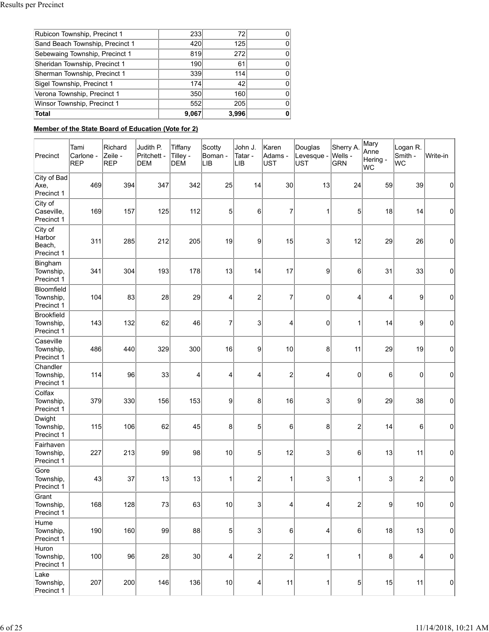| Rubicon Township, Precinct 1    | 233   | 72    |  |
|---------------------------------|-------|-------|--|
| Sand Beach Township, Precinct 1 | 420   | 125   |  |
| Sebewaing Township, Precinct 1  | 819   | 272   |  |
| Sheridan Township, Precinct 1   | 190   | 61    |  |
| Sherman Township, Precinct 1    | 339   | 114   |  |
| Sigel Township, Precinct 1      | 174   | 42    |  |
| Verona Township, Precinct 1     | 350   | 160   |  |
| Winsor Township, Precinct 1     | 552   | 205   |  |
| <b>Total</b>                    | 9,067 | 3,996 |  |

# **Member of the State Board of Education (Vote for 2)**

| Precinct                                  | Tami<br>Carlone -<br><b>REP</b> | Richard<br>Zeile -<br>REP | Judith P.<br>Pritchett -<br><b>DEM</b> | Tiffany<br>Tilley -<br><b>DEM</b> | Scotty<br>Boman -<br>llib | John J.<br>Tatar -<br>llib | Karen<br>Adams -<br><b>UST</b> | Douglas<br>Levesque -<br><b>UST</b> | Sherry A.<br>Wells -<br><b>GRN</b> | Mary<br>Anne<br>Hering -<br> WC | Logan R.<br>Smith -<br>lwc | Write-in |
|-------------------------------------------|---------------------------------|---------------------------|----------------------------------------|-----------------------------------|---------------------------|----------------------------|--------------------------------|-------------------------------------|------------------------------------|---------------------------------|----------------------------|----------|
| City of Bad<br>Axe,<br>Precinct 1         | 469                             | 394                       | 347                                    | 342                               | 25                        | 14                         | 30                             | 13                                  | 24                                 | 59                              | 39                         | 0        |
| City of<br>Caseville,<br>Precinct 1       | 169                             | 157                       | 125                                    | 112                               | 5                         | 6                          | $\overline{7}$                 | 1                                   | 5                                  | 18                              | 14                         | 0        |
| City of<br>Harbor<br>Beach,<br>Precinct 1 | 311                             | 285                       | 212                                    | 205                               | 19                        | 9                          | 15                             | 3                                   | 12                                 | 29                              | 26                         | 0        |
| Bingham<br>Township,<br>Precinct 1        | 341                             | 304                       | 193                                    | 178                               | 13                        | 14                         | 17                             | 9                                   | 6                                  | 31                              | 33                         | 0        |
| Bloomfield<br>Township,<br>Precinct 1     | 104                             | 83                        | 28                                     | 29                                | $\overline{4}$            | $\overline{\mathbf{c}}$    | $\overline{7}$                 | 0                                   | 4                                  | 4                               | 9                          | 0        |
| Brookfield<br>Township,<br>Precinct 1     | 143                             | 132                       | 62                                     | 46                                | 7                         | 3                          | 4                              | 0                                   | 1                                  | 14                              | 9                          | 0        |
| Caseville<br>Township,<br>Precinct 1      | 486                             | 440                       | 329                                    | 300                               | 16                        | 9                          | 10                             | 8                                   | 11                                 | 29                              | 19                         | 0        |
| Chandler<br>Township,<br>Precinct 1       | 114                             | 96                        | 33                                     | 4                                 | 4                         | 4                          | $\overline{c}$                 | 4                                   | $\Omega$                           | 6                               | $\mathbf 0$                | 0        |
| Colfax<br>Township,<br>Precinct 1         | 379                             | 330                       | 156                                    | 153                               | 9                         | 8                          | 16                             | 3                                   | 9                                  | 29                              | 38                         | 0        |
| Dwight<br>Township,<br>Precinct 1         | 115                             | 106                       | 62                                     | 45                                | 8                         | $5\vert$                   | $6\phantom{1}$                 | 8                                   | $\overline{c}$                     | 14                              | 6                          | 0        |
| Fairhaven<br>Township,<br>Precinct 1      | 227                             | 213                       | 99                                     | 98                                | 10                        | $5\vert$                   | 12                             | 3                                   | 6                                  | 13                              | 11                         | 0        |
| Gore<br>Township,<br>Precinct 1           | 43                              | 37                        | 13                                     | 13                                | 1                         | $\mathbf{2}$               | $\mathbf 1$                    | 3                                   | 1                                  | 3                               | $\overline{2}$             | 0        |
| Grant<br>Township,<br>Precinct 1          | 168                             | 128                       | 73                                     | 63                                | 10                        | $\vert 3 \vert$            | 4                              | 4                                   | $\overline{c}$                     | 9                               | 10                         | 0        |
| Hume<br>Township,<br>Precinct 1           | 190                             | 160                       | 99                                     | 88                                | 5                         | 3 <sup>2</sup>             | 6                              | 4                                   | 6                                  | 18                              | 13                         | 0        |
| Huron<br>Township,<br>Precinct 1          | 100                             | 96                        | 28                                     | 30                                | 4                         | $\boldsymbol{2}$           | $\overline{\mathbf{c}}$        | 1                                   | 1                                  | 8                               | 4                          | 0        |
| Lake<br>Township,<br>Precinct 1           | 207                             | 200                       | 146                                    | 136                               | 10                        | $\vert 4 \vert$            | 11                             | 1                                   | 5                                  | 15                              | 11                         | 0        |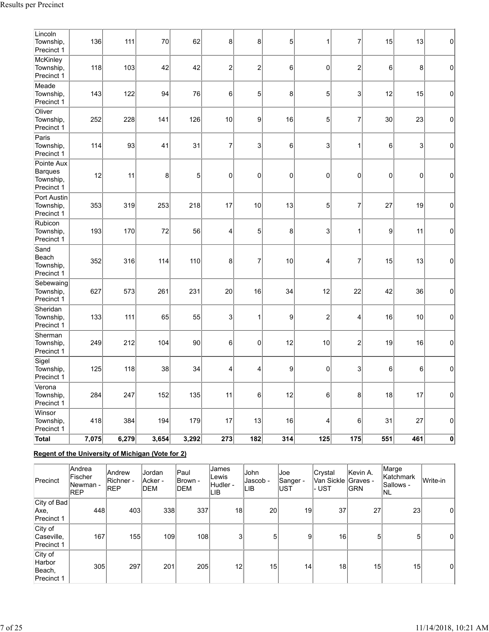| Lincoln<br>Township,<br>Precinct 1                      | 136   | 111   | 70    | 62    | 8              | 8              | 5               | 1                | $\overline{7}$            | 15              | 13  | $\pmb{0}$   |
|---------------------------------------------------------|-------|-------|-------|-------|----------------|----------------|-----------------|------------------|---------------------------|-----------------|-----|-------------|
| McKinley<br>Township,<br>Precinct 1                     | 118   | 103   | 42    | 42    | $\overline{c}$ | $\overline{c}$ | 6               | $\mathbf 0$      | $\overline{c}$            | $6\overline{6}$ | 8   | $\mathsf 0$ |
| Meade<br>Township,<br>Precinct 1                        | 143   | 122   | 94    | 76    | 6              | 5 <sup>2</sup> | 8               | 5                | 3                         | 12              | 15  | $\mathbf 0$ |
| Oliver<br>Township,<br>Precinct 1                       | 252   | 228   | 141   | 126   | 10             | 9              | 16              | 5                | 7                         | 30              | 23  | $\mathbf 0$ |
| Paris<br>Township,<br>Precinct 1                        | 114   | 93    | 41    | 31    | $\overline{7}$ | 3 <sup>2</sup> | $6\phantom{.}6$ | 3                | 1                         | $6\overline{6}$ | 3   | $\mathbf 0$ |
| Pointe Aux<br><b>Barques</b><br>Township,<br>Precinct 1 | 12    | 11    | 8     | 5     | 0              | $\mathbf 0$    | $\mathbf 0$     | $\mathbf 0$      | 0                         | 0               | 0   | $\mathbf 0$ |
| Port Austin<br>Township,<br>Precinct 1                  | 353   | 319   | 253   | 218   | 17             | 10             | 13              | 5                | $\overline{7}$            | 27              | 19  | $\pmb{0}$   |
| Rubicon<br>Township,<br>Precinct 1                      | 193   | 170   | 72    | 56    | 4              | 5              | 8               | 3                | 1                         | 9               | 11  | $\pmb{0}$   |
| Sand<br>Beach<br>Township,<br>Precinct 1                | 352   | 316   | 114   | 110   | 8              | $\overline{7}$ | 10              | 4                | 7                         | 15              | 13  | $\pmb{0}$   |
| Sebewaing<br>Township,<br>Precinct 1                    | 627   | 573   | 261   | 231   | 20             | 16             | 34              | 12               | 22                        | 42              | 36  | $\mathbf 0$ |
| Sheridan<br>Township,<br>Precinct 1                     | 133   | 111   | 65    | 55    | 3              | $\mathbf{1}$   | 9               | $\mathbf 2$      | 4                         | 16              | 10  | $\pmb{0}$   |
| Sherman<br>Township,<br>Precinct 1                      | 249   | 212   | 104   | 90    | 6              | 0              | 12              | 10               | $\overline{c}$            | 19              | 16  | $\mathbf 0$ |
| Sigel<br>Township,<br>Precinct 1                        | 125   | 118   | 38    | 34    | 4              | 4              | 9               | $\mathbf 0$      | 3                         | 6               | 6   | $\mathbf 0$ |
| Verona<br>Township,<br>Precinct 1                       | 284   | 247   | 152   | 135   | 11             | 6              | 12              | $\,6$            | 8                         | 18              | 17  | $\pmb{0}$   |
| Winsor<br>Township,<br>Precinct 1                       | 418   | 384   | 194   | 179   | 17             | 13             | 16              | 4                | 6                         | 31              | 27  | $\mathbf 0$ |
| Total                                                   | 7,075 | 6,279 | 3,654 | 3,292 | 273            | 182            | 314             | $\overline{125}$ | $\overline{\mathbf{175}}$ | 551             | 461 | $\pmb{0}$   |

# **Regent of the University of Michigan (Vote for 2)**

| Precinct                                  | Andrea<br><b>IFischer</b><br>lNewman -<br><b>REP</b> | <b>Andrew</b><br><b>Richner</b> -<br><b>REP</b> | Jordan<br> Acker -<br><b>IDEM</b> | Paul<br>IBrown -<br><b>IDEM</b> | James<br>Lewis<br>Hudler -<br>LIB | <b>John</b><br>Jascob -<br>LIB | Joe<br>Sanger -<br>lust | <b>Crystal</b><br>Van Sickle  Graves -<br>- UST | Kevin A.<br>IGRN | Marge<br>lKatchmark<br>lSallows -<br>INL | Write-in |
|-------------------------------------------|------------------------------------------------------|-------------------------------------------------|-----------------------------------|---------------------------------|-----------------------------------|--------------------------------|-------------------------|-------------------------------------------------|------------------|------------------------------------------|----------|
| City of Bad<br>Axe,<br>Precinct 1         | 448                                                  | 403                                             | 338                               | 337                             | 18                                | 20                             | 19                      | 37                                              | 27               | 23                                       | 0        |
| City of<br>Caseville,<br>Precinct 1       | 167                                                  | 155                                             | 109                               | 108                             | 3                                 | 5                              | 9                       | 16 <sub>1</sub>                                 | 5 <sup>1</sup>   | 5                                        | 0        |
| City of<br>Harbor<br>Beach,<br>Precinct 1 | 305                                                  | 297                                             | 201                               | 205                             | 12                                | 15                             | 14                      | 18                                              | 15 <sub>1</sub>  | 15                                       | 0        |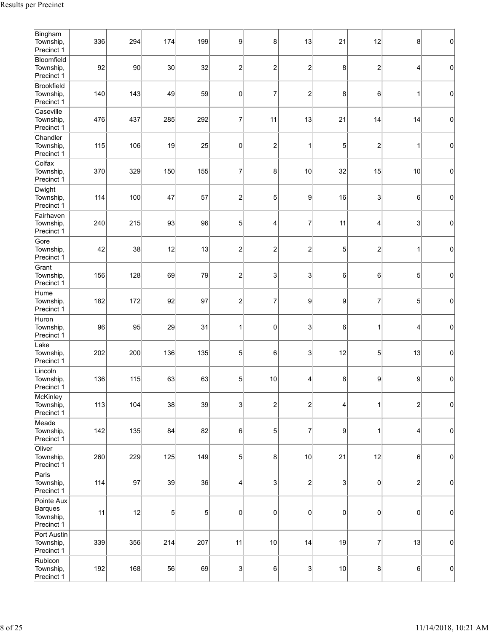| Bingham<br>Township,<br>Precinct 1               | 336 | 294 | 174 | 199 | 9                       | 8                       | 13                        | 21        | 12                      | 8                       | $\mathbf 0$ |
|--------------------------------------------------|-----|-----|-----|-----|-------------------------|-------------------------|---------------------------|-----------|-------------------------|-------------------------|-------------|
| Bloomfield<br>Township,<br>Precinct 1            | 92  | 90  | 30  | 32  | $\overline{c}$          | $\overline{c}$          | $\overline{2}$            | 8         | $\overline{\mathbf{c}}$ | 4                       | $\mathbf 0$ |
| Brookfield<br>Township,<br>Precinct 1            | 140 | 143 | 49  | 59  | 0                       | $\overline{7}$          | $\overline{2}$            | 8         | 6                       | 1                       | 0           |
| Caseville<br>Township,<br>Precinct 1             | 476 | 437 | 285 | 292 | 7                       | 11                      | 13                        | 21        | 14                      | 14                      | 0           |
| Chandler<br>Township,<br>Precinct 1              | 115 | 106 | 19  | 25  | 0                       | $\overline{c}$          | 1                         | 5         | $\overline{\mathbf{c}}$ | 1                       | $\mathbf 0$ |
| Colfax<br>Township,<br>Precinct 1                | 370 | 329 | 150 | 155 | 7                       | 8                       | 10                        | 32        | 15                      | 10                      | 0           |
| Dwight<br>Township,<br>Precinct 1                | 114 | 100 | 47  | 57  | $\overline{c}$          | 5                       | 9                         | 16        | 3                       | 6                       | $\mathbf 0$ |
| Fairhaven<br>Township,<br>Precinct 1             | 240 | 215 | 93  | 96  | 5                       | 4                       | 7                         | 11        | 4                       | 3                       | $\mathbf 0$ |
| Gore<br>Township,<br>Precinct 1                  | 42  | 38  | 12  | 13  | $\overline{c}$          | $\overline{c}$          | $\overline{c}$            | 5         | $\overline{c}$          | 1                       | 0           |
| Grant<br>Township,<br>Precinct 1                 | 156 | 128 | 69  | 79  | $\overline{\mathbf{c}}$ | 3                       | 3                         | 6         | 6                       | $\sqrt{5}$              | 0           |
| Hume<br>Township,<br>Precinct 1                  | 182 | 172 | 92  | 97  | $\overline{c}$          | $\overline{7}$          | 9                         | 9         | $\overline{7}$          | 5                       | 0           |
| Huron<br>Township,<br>Precinct 1                 | 96  | 95  | 29  | 31  | 1                       | 0                       | 3                         | 6         | 1                       | 4                       | $\mathbf 0$ |
| Lake<br>Township,<br>Precinct 1                  | 202 | 200 | 136 | 135 | 5                       | 6                       | 3                         | 12        | 5                       | 13                      | 0           |
| Lincoln<br>Township,<br>Precinct 1               | 136 | 115 | 63  | 63  | 5                       | 10                      | 4                         | 8         | 9                       | 9                       | $\mathbf 0$ |
| McKinley<br>Township,<br>Precinct 1              | 113 | 104 | 38  | 39  | 3                       | $\overline{\mathbf{c}}$ | $\overline{c}$            | 4         | 1                       | $\overline{\mathbf{c}}$ | 0           |
| Meade<br>Township,<br>Precinct 1                 | 142 | 135 | 84  | 82  | 6                       | 5                       | $\overline{7}$            | 9         | $\mathbf{1}$            | 4                       | 0           |
| Oliver<br>Township,<br>Precinct 1                | 260 | 229 | 125 | 149 | 5                       | 8                       | 10                        | 21        | 12                      | 6                       | $\pmb{0}$   |
| Paris<br>Township,<br>Precinct 1                 | 114 | 97  | 39  | 36  | 4                       | 3                       | $\overline{c}$            | 3         | $\pmb{0}$               | $\overline{\mathbf{c}}$ | 0           |
| Pointe Aux<br>Barques<br>Township,<br>Precinct 1 | 11  | 12  | 5   | 5   | $\mathsf{O}\xspace$     | 0                       | 0                         | $\pmb{0}$ | $\pmb{0}$               | $\pmb{0}$               | 0           |
| Port Austin<br>Township,<br>Precinct 1           | 339 | 356 | 214 | 207 | 11                      | 10                      | 14                        | 19        | 7                       | 13                      | 0           |
| Rubicon<br>Township,<br>Precinct 1               | 192 | 168 | 56  | 69  | 3                       | 6                       | $\ensuremath{\mathsf{3}}$ | 10        | 8                       | $\,6$                   | 0           |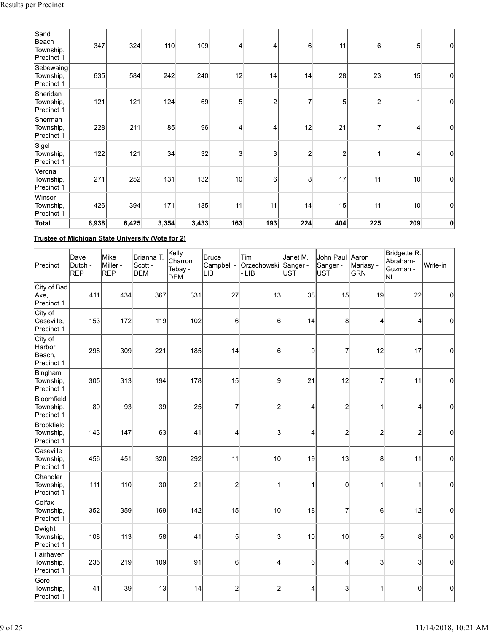| Sand<br>Beach<br>Township,<br>Precinct 1 | 347   | 324   | 110   | 109   | 4              | 4              | $6 \mid$       | 11             | 6              | 5              | 0           |
|------------------------------------------|-------|-------|-------|-------|----------------|----------------|----------------|----------------|----------------|----------------|-------------|
| Sebewaing<br>Township,<br>Precinct 1     | 635   | 584   | 242   | 240   | 12             | 14             | 14             | 28             | 23             | 15             | $\mathbf 0$ |
| Sheridan<br>Township,<br>Precinct 1      | 121   | 121   | 124   | 69    | 5              | $\overline{2}$ |                | 5              | $\overline{2}$ |                | 0           |
| Sherman<br>Township,<br>Precinct 1       | 228   | 211   | 85    | 96    | 4              | 4              | 12             | 21             | $\overline{7}$ | $\overline{4}$ | 0           |
| Sigel<br>Township,<br>Precinct 1         | 122   | 121   | 34    | 32    | 3 <sub>l</sub> | 3              | $\overline{2}$ | $\overline{c}$ | 1              | 4              | 0           |
| Verona<br>Township,<br>Precinct 1        | 271   | 252   | 131   | 132   | 10             | 6              | 8              | 17             | 11             | 10             | 0           |
| Winsor<br>Township,<br>Precinct 1        | 426   | 394   | 171   | 185   | 11             | 11             | 14             | 15             | 11             | 10             | 0           |
| Total                                    | 6,938 | 6,425 | 3,354 | 3,433 | 163            | 193            | 224            | 404            | 225            | 209            | $\mathbf 0$ |

**Trustee of Michigan State University (Vote for 2)**

| Precinct                                  | Dave<br>Dutch -<br>REP | Mike<br>Miller -<br>REP | Brianna T.<br>Scott -<br><b>DEM</b> | Kelly<br>Charron<br>Tebay -<br><b>DEM</b> | Bruce<br>Campbell -<br>∣LIB | Tim<br>Orzechowski Sanger -<br>- LIB | Janet M.<br><b>UST</b> | John Paul<br>Sanger -<br><b>UST</b> | Aaron<br>Mariasy -<br><b>GRN</b> | Bridgette R.<br>Abraham-<br>Guzman -<br>NL | Write-in    |
|-------------------------------------------|------------------------|-------------------------|-------------------------------------|-------------------------------------------|-----------------------------|--------------------------------------|------------------------|-------------------------------------|----------------------------------|--------------------------------------------|-------------|
| City of Bad<br>Axe,<br>Precinct 1         | 411                    | 434                     | 367                                 | 331                                       | 27                          | 13                                   | 38                     | 15                                  | 19                               | 22                                         | 0           |
| City of<br>Caseville,<br>Precinct 1       | 153                    | 172                     | 119                                 | 102                                       | 6                           | 6                                    | 14                     | 8                                   | 4                                | 4                                          | 0           |
| City of<br>Harbor<br>Beach,<br>Precinct 1 | 298                    | 309                     | 221                                 | 185                                       | 14                          | 6                                    | 9                      | 7                                   | 12                               | 17                                         | $\pmb{0}$   |
| Bingham<br>Township,<br>Precinct 1        | 305                    | 313                     | 194                                 | 178                                       | 15                          | 9                                    | 21                     | 12                                  | 7                                | 11                                         | 0           |
| Bloomfield<br>Township,<br>Precinct 1     | 89                     | 93                      | 39                                  | 25                                        | 7                           | $\overline{a}$                       | 4                      | $\overline{c}$                      | $\mathbf 1$                      | $\overline{4}$                             | 0           |
| Brookfield<br>Township,<br>Precinct 1     | 143                    | 147                     | 63                                  | 41                                        | 4                           | 3                                    | 4                      | $\overline{\mathbf{c}}$             | $\overline{c}$                   | $\overline{2}$                             | 0           |
| Caseville<br>Township,<br>Precinct 1      | 456                    | 451                     | 320                                 | 292                                       | 11                          | 10                                   | 19                     | 13                                  | 8                                | 11                                         | 0           |
| Chandler<br>Township,<br>Precinct 1       | 111                    | 110                     | 30                                  | 21                                        | $\overline{\mathbf{c}}$     | 1                                    | 1                      | 0                                   | 1                                | 1                                          | $\mathbf 0$ |
| Colfax<br>Township,<br>Precinct 1         | 352                    | 359                     | 169                                 | 142                                       | 15                          | 10                                   | 18                     | $\overline{7}$                      | 6                                | 12                                         | $\mathbf 0$ |
| Dwight<br>Township,<br>Precinct 1         | 108                    | 113                     | 58                                  | 41                                        | 5                           | 3                                    | 10                     | 10                                  | 5                                | 8                                          | 0           |
| Fairhaven<br>Township,<br>Precinct 1      | 235                    | 219                     | 109                                 | 91                                        | 6                           | 4                                    | 6                      | 4                                   | 3                                | 3                                          | 0           |
| Gore<br>Township,<br>Precinct 1           | 41                     | 39                      | 13                                  | 14                                        | $\overline{\mathbf{c}}$     | $\overline{\mathbf{c}}$              | 4                      | 3                                   | 1                                | $\mathbf 0$                                | 0           |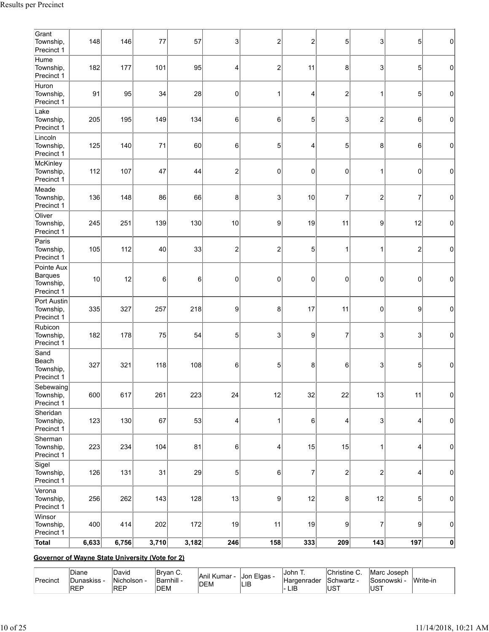| Grant<br>Township,<br>Precinct 1                 | 148                | 146   | 77    | 57    | 3                       | $\overline{\mathbf{c}}$ | $\overline{2}$ | 5                       | 3                | 5              | $\pmb{0}$   |
|--------------------------------------------------|--------------------|-------|-------|-------|-------------------------|-------------------------|----------------|-------------------------|------------------|----------------|-------------|
| Hume<br>Township,<br>Precinct 1                  | 182                | 177   | 101   | 95    | 4                       | $\overline{\mathbf{c}}$ | 11             | 8                       | 3                | 5              | 0           |
| Huron<br>Township,<br>Precinct 1                 | 91                 | 95    | 34    | 28    | 0                       | 1                       | 4              | $\overline{\mathbf{c}}$ | 1                | 5              | 0           |
| Lake<br>Township,<br>Precinct 1                  | 205                | 195   | 149   | 134   | 6                       | 6                       | 5              | 3                       | $\overline{2}$   | 6              | $\mathbf 0$ |
| Lincoln<br>Township,<br>Precinct 1               | 125                | 140   | 71    | 60    | 6                       | 5                       | 4              | 5                       | 8                | 6              | $\mathbf 0$ |
| McKinley<br>Township,<br>Precinct 1              | 112                | 107   | 47    | 44    | $\overline{\mathbf{c}}$ | 0                       | 0              | $\pmb{0}$               | 1                | $\pmb{0}$      | $\pmb{0}$   |
| Meade<br>Township,<br>Precinct 1                 | 136                | 148   | 86    | 66    | 8                       | 3                       | 10             | $\overline{7}$          | $\overline{c}$   | $\overline{7}$ | $\mathbf 0$ |
| Oliver<br>Township,<br>Precinct 1                | 245                | 251   | 139   | 130   | 10                      | 9                       | 19             | 11                      | 9                | 12             | $\mathbf 0$ |
| Paris<br>Township,<br>Precinct 1                 | 105                | 112   | 40    | 33    | 2                       | $\boldsymbol{2}$        | 5              | 1                       | 1                | $\overline{c}$ | $\mathbf 0$ |
| Pointe Aux<br>Barques<br>Township,<br>Precinct 1 | 10                 | 12    | 6     | 6     | $\mathbf 0$             | 0                       | 0              | 0                       | $\mathbf 0$      | $\pmb{0}$      | $\pmb{0}$   |
| Port Austin<br>Township,<br>Precinct 1           | 335                | 327   | 257   | 218   | 9                       | 8                       | 17             | 11                      | $\mathbf 0$      | 9              | $\mathbf 0$ |
| Rubicon<br>Township,<br>Precinct 1               | 182                | 178   | 75    | 54    | 5                       | 3                       | 9              | $\overline{7}$          | 3                | 3              | $\mathbf 0$ |
| Sand<br>Beach<br>Township,<br>Precinct 1         | 327                | 321   | 118   | 108   | 6                       | 5                       | 8              | 6                       | 3                | 5              | $\mathbf 0$ |
| Sebewaing<br>Township,<br>Precinct 1             | 600                | 617   | 261   | 223   | 24                      | 12                      | 32             | 22                      | 13               | 11             | $\pmb{0}$   |
| Sheridan<br>Township,<br>Precinct 1              | 123                | 130   | 67    | 53    | 4                       | 1                       | 6              | 4                       | 3                | 4              | $\mathbf 0$ |
| Sherman<br>Township,<br>Precinct 1               | 223                | 234   | 104   | 81    | 6                       | 4                       | 15             | 15                      | 1                | 4              | $\pmb{0}$   |
| Sigel<br>Township,<br>Precinct 1                 | 126                | 131   | 31    | 29    | 5                       | 6                       | $\overline{7}$ | $\overline{\mathbf{c}}$ | $\boldsymbol{2}$ | 4              | $\pmb{0}$   |
| Verona<br>Township,<br>Precinct 1                | 256                | 262   | 143   | 128   | 13                      | 9                       | 12             | 8                       | 12               | 5              | 0           |
| Winsor<br>Township,<br>Precinct 1                | 400                | 414   | 202   | 172   | 19                      | 11                      | 19             | 9                       | 7                | 9              | $\pmb{0}$   |
| Total                                            | $\overline{6,}633$ | 6,756 | 3,710 | 3,182 | 246                     | 158                     | 333            | 209                     | 143              | 197            | $\pmb{0}$   |

# **Governor of Wayne State University (Vote for 2)**

| Christine u<br>David<br>Diane<br>Bryan C.<br>IJohn T.<br>IMarc Joseph<br><sub>I</sub> Jon Elgas -<br><b>Anil Kumar</b><br>Barnhill -<br>Nicholson -<br>Write-in<br>. <i>J</i> unaskiss -<br>Precinct<br>'Schwartz<br>Sosnowski<br>Hardenrader<br><b>IDEM</b><br> LIB<br>l- LIB<br>IREP<br>lust<br><b>IREP</b><br><b>IDEM</b><br><b>IUST</b> |
|---------------------------------------------------------------------------------------------------------------------------------------------------------------------------------------------------------------------------------------------------------------------------------------------------------------------------------------------|
|---------------------------------------------------------------------------------------------------------------------------------------------------------------------------------------------------------------------------------------------------------------------------------------------------------------------------------------------|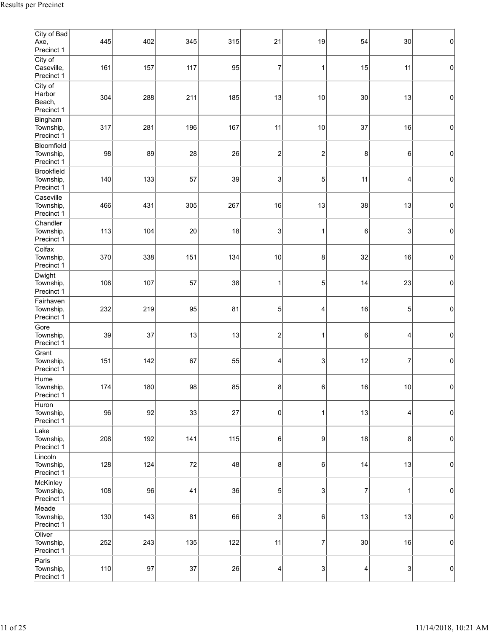| City of Bad<br>Axe,<br>Precinct 1         | 445 | 402 | 345 | 315 | 21             | 19                      | 54 | 30             | 0 |
|-------------------------------------------|-----|-----|-----|-----|----------------|-------------------------|----|----------------|---|
| City of<br>Caseville,<br>Precinct 1       | 161 | 157 | 117 | 95  | 7              | 1                       | 15 | 11             | 0 |
| City of<br>Harbor<br>Beach,<br>Precinct 1 | 304 | 288 | 211 | 185 | 13             | 10                      | 30 | 13             | 0 |
| Bingham<br>Township,<br>Precinct 1        | 317 | 281 | 196 | 167 | 11             | 10                      | 37 | 16             | 0 |
| Bloomfield<br>Township,<br>Precinct 1     | 98  | 89  | 28  | 26  | 2              | $\overline{\mathbf{c}}$ | 8  | 6              | 0 |
| Brookfield<br>Township,<br>Precinct 1     | 140 | 133 | 57  | 39  | 3              | 5                       | 11 | 4              | 0 |
| Caseville<br>Township,<br>Precinct 1      | 466 | 431 | 305 | 267 | 16             | 13                      | 38 | 13             | 0 |
| Chandler<br>Township,<br>Precinct 1       | 113 | 104 | 20  | 18  | 3              | 1                       | 6  | 3              | 0 |
| Colfax<br>Township,<br>Precinct 1         | 370 | 338 | 151 | 134 | 10             | 8                       | 32 | 16             | 0 |
| Dwight<br>Township,<br>Precinct 1         | 108 | 107 | 57  | 38  |                | 5                       | 14 | 23             | 0 |
| Fairhaven<br>Township,<br>Precinct 1      | 232 | 219 | 95  | 81  | 5              | 4                       | 16 | 5              | 0 |
| Gore<br>Township,<br>Precinct 1           | 39  | 37  | 13  | 13  | 2              | 1                       | 6  | 4              | 0 |
| Grant<br>Township,<br>Precinct 1          | 151 | 142 | 67  | 55  | 4              | 3                       | 12 | $\overline{7}$ | 0 |
| Hume<br>Township,<br>Precinct 1           | 174 | 180 | 98  | 85  | 8 <sup>2</sup> | 6                       | 16 | $10$           | 0 |
| Huron<br>Township,<br>Precinct 1          | 96  | 92  | 33  | 27  | 0              | 1                       | 13 | 4              | 0 |
| Lake<br>Township,<br>Precinct 1           | 208 | 192 | 141 | 115 | 6              | $\boldsymbol{9}$        | 18 | 8              | 0 |
| Lincoln<br>Township,<br>Precinct 1        | 128 | 124 | 72  | 48  | 8 <sup>2</sup> | 6                       | 14 | 13             | 0 |
| McKinley<br>Township,<br>Precinct 1       | 108 | 96  | 41  | 36  | $\sqrt{5}$     | 3                       | 7  | 1              | 0 |
| Meade<br>Township,<br>Precinct 1          | 130 | 143 | 81  | 66  | 3              | 6                       | 13 | 13             | 0 |
| Oliver<br>Township,<br>Precinct 1         | 252 | 243 | 135 | 122 | 11             | 7                       | 30 | 16             | 0 |
| Paris<br>Township,<br>Precinct 1          | 110 | 97  | 37  | 26  | 4              | 3                       | 4  | 3              | 0 |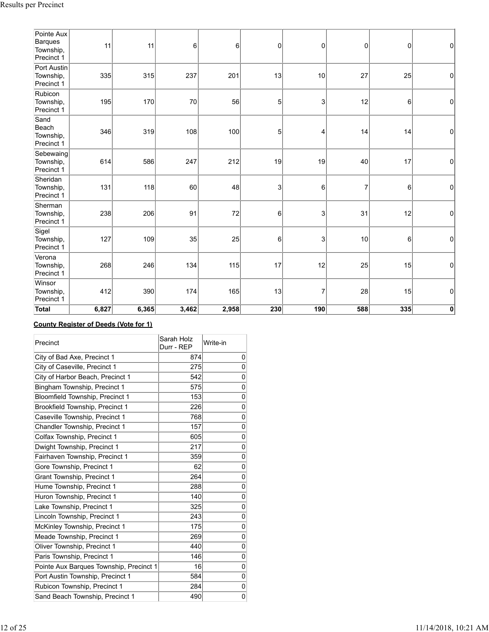| Pointe Aux<br>Barques<br>Township,<br>Precinct 1 | 11    | 11    | 6     | 6     | 0          | 0   | 0              | $\boldsymbol{0}$ | $\pmb{0}$   |
|--------------------------------------------------|-------|-------|-------|-------|------------|-----|----------------|------------------|-------------|
| Port Austin<br>Township,<br>Precinct 1           | 335   | 315   | 237   | 201   | 13         | 10  | 27             | 25               | $\mathbf 0$ |
| Rubicon<br>Township,<br>Precinct 1               | 195   | 170   | 70    | 56    | $\sqrt{5}$ | 3   | 12             | 6                | 0           |
| Sand<br>Beach<br>Township,<br>Precinct 1         | 346   | 319   | 108   | 100   | $\sqrt{5}$ | 4   | 14             | 14               | $\mathbf 0$ |
| Sebewaing<br>Township,<br>Precinct 1             | 614   | 586   | 247   | 212   | 19         | 19  | 40             | 17               | 0           |
| Sheridan<br>Township,<br>Precinct 1              | 131   | 118   | 60    | 48    | 3          | 6   | $\overline{7}$ | 6                | 0           |
| Sherman<br>Township,<br>Precinct 1               | 238   | 206   | 91    | 72    | $\,6$      | 3   | 31             | 12               | $\mathbf 0$ |
| Sigel<br>Township,<br>Precinct 1                 | 127   | 109   | 35    | 25    | 6          | 3   | 10             | 6                | $\mathbf 0$ |
| Verona<br>Township,<br>Precinct 1                | 268   | 246   | 134   | 115   | 17         | 12  | 25             | 15               | 0           |
| Winsor<br>Township,<br>Precinct 1                | 412   | 390   | 174   | 165   | 13         | 7   | 28             | 15               | $\mathbf 0$ |
| Total                                            | 6,827 | 6,365 | 3,462 | 2,958 | 230        | 190 | 588            | 335              | 0           |

## **County Register of Deeds (Vote for 1)**

| Precinct                                | Sarah Holz<br>Durr - REP | Write-in       |
|-----------------------------------------|--------------------------|----------------|
| City of Bad Axe, Precinct 1             | 874                      | 0              |
| City of Caseville, Precinct 1           | 275                      | 0              |
| City of Harbor Beach, Precinct 1        | 542                      | 0              |
| Bingham Township, Precinct 1            | 575                      | 0              |
| Bloomfield Township, Precinct 1         | 153                      | $\overline{0}$ |
| Brookfield Township, Precinct 1         | 226                      | $\mathbf 0$    |
| Caseville Township, Precinct 1          | 768                      | 0              |
| Chandler Township, Precinct 1           | 157                      | 0              |
| Colfax Township, Precinct 1             | 605                      | $\overline{0}$ |
| Dwight Township, Precinct 1             | 217                      | $\overline{0}$ |
| Fairhaven Township, Precinct 1          | 359                      | 0              |
| Gore Township, Precinct 1               | 62                       | 0              |
| Grant Township, Precinct 1              | 264                      | 0              |
| Hume Township, Precinct 1               | 288                      | $\overline{0}$ |
| Huron Township, Precinct 1              | 140                      | $\overline{0}$ |
| Lake Township, Precinct 1               | 325                      | 0              |
| Lincoln Township, Precinct 1            | 243                      | 0              |
| McKinley Township, Precinct 1           | 175                      | 0              |
| Meade Township, Precinct 1              | 269                      | 0              |
| Oliver Township, Precinct 1             | 440                      | 0              |
| Paris Township, Precinct 1              | 146                      | 0              |
| Pointe Aux Barques Township, Precinct 1 | 16                       | 0              |
| Port Austin Township, Precinct 1        | 584                      | 0              |
| Rubicon Township, Precinct 1            | 284                      | 0              |
| Sand Beach Township, Precinct 1         | 490                      | 0              |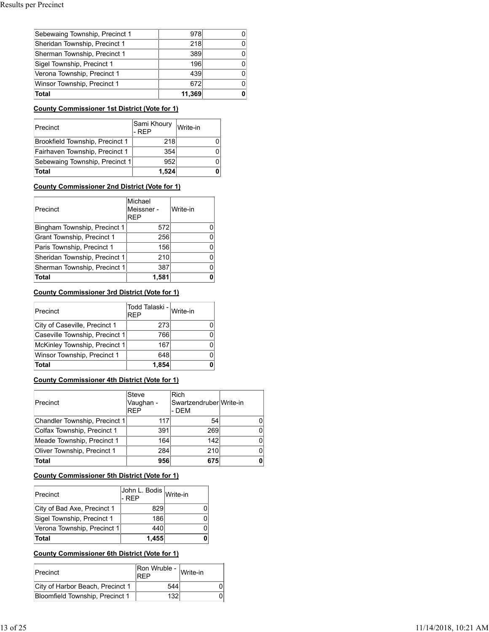| Sebewaing Township, Precinct 1 | 978    |  |
|--------------------------------|--------|--|
| Sheridan Township, Precinct 1  | 218    |  |
| Sherman Township, Precinct 1   | 389    |  |
| Sigel Township, Precinct 1     | 196    |  |
| Verona Township, Precinct 1    | 439    |  |
| Winsor Township, Precinct 1    | 672    |  |
| <b>Total</b>                   | 11,369 |  |

#### **County Commissioner 1st District (Vote for 1)**

| Precinct                        | Sami Khoury<br>I-REP | Write-in |
|---------------------------------|----------------------|----------|
| Brookfield Township, Precinct 1 | 218                  |          |
| Fairhaven Township, Precinct 1  | 354                  |          |
| Sebewaing Township, Precinct 1  | 952                  |          |
| <b>Total</b>                    | 1,524                |          |

## **County Commissioner 2nd District (Vote for 1)**

| Precinct                      | Michael<br>Meissner -<br><b>REP</b> | Write-in |
|-------------------------------|-------------------------------------|----------|
| Bingham Township, Precinct 1  | 572                                 |          |
| Grant Township, Precinct 1    | 256                                 |          |
| Paris Township, Precinct 1    | 156                                 |          |
| Sheridan Township, Precinct 1 | 210                                 |          |
| Sherman Township, Precinct 1  | 387                                 |          |
| Total                         | 1.581                               |          |

## **County Commissioner 3rd District (Vote for 1)**

| Precinct                       | Todd Talaski - Write-in<br><b>REP</b> |  |
|--------------------------------|---------------------------------------|--|
| City of Caseville, Precinct 1  | 273                                   |  |
| Caseville Township, Precinct 1 | 7661                                  |  |
| McKinley Township, Precinct 1  | 167                                   |  |
| Winsor Township, Precinct 1    | 648                                   |  |
| Total                          | 1.854                                 |  |

## **County Commissioner 4th District (Vote for 1)**

| Precinct                      | Steve<br>Vaughan -<br><b>REP</b> | Rich<br>SwartzendruberlWrite-in<br>- DEM |    |
|-------------------------------|----------------------------------|------------------------------------------|----|
| Chandler Township, Precinct 1 | 117                              | 54                                       | O. |
| Colfax Township, Precinct 1   | 391                              | 269                                      | 0  |
| Meade Township, Precinct 1    | 164                              | 142                                      | 0  |
| Oliver Township, Precinct 1   | 284                              | 210                                      | 0  |
| Total                         | 956                              | 675                                      |    |

#### **County Commissioner 5th District (Vote for 1)**

| Precinct                    | John L. Bodis Write-in<br>l- REP |  |
|-----------------------------|----------------------------------|--|
| City of Bad Axe, Precinct 1 | 829                              |  |
| Sigel Township, Precinct 1  | 186                              |  |
| Verona Township, Precinct 1 | 440                              |  |
| ∣Total                      | 1,455                            |  |

# **County Commissioner 6th District (Vote for 1)**

| Precinct                         | $\widehat{\text{Ron W}}$ ruble - $\big _{\text{Write-in}}$<br><b>RFP</b> |  |
|----------------------------------|--------------------------------------------------------------------------|--|
| City of Harbor Beach, Precinct 1 | 544                                                                      |  |
| Bloomfield Township, Precinct 1  | 132                                                                      |  |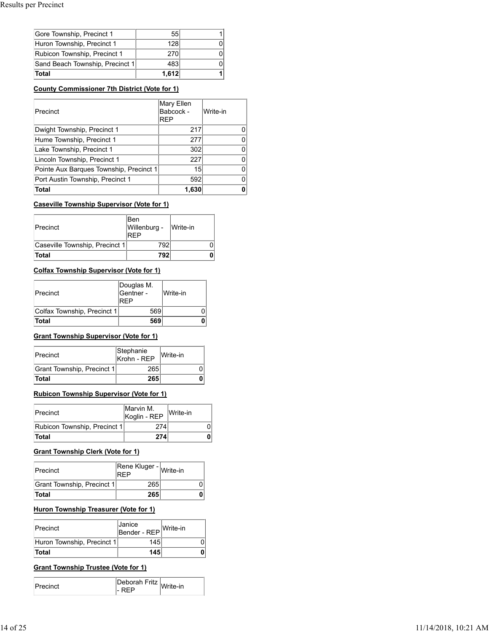| Gore Township, Precinct 1       | 55    |  |
|---------------------------------|-------|--|
| Huron Township, Precinct 1      | 128   |  |
| Rubicon Township, Precinct 1    | 270   |  |
| Sand Beach Township, Precinct 1 | 483   |  |
| Total                           | 1,612 |  |

#### **County Commissioner 7th District (Vote for 1)**

| Precinct                                                      |                                          | REP | Mary Ellen<br>Babcock - | Write-in |   |
|---------------------------------------------------------------|------------------------------------------|-----|-------------------------|----------|---|
| Dwight Township, Precinct 1                                   |                                          |     | 217                     |          | 0 |
| Hume Township, Precinct 1                                     |                                          |     | 277                     |          | 0 |
| Lake Township, Precinct 1                                     |                                          |     | 302                     |          | 0 |
| Lincoln Township, Precinct 1                                  |                                          |     | 227                     |          | 0 |
| Pointe Aux Barques Township, Precinct 1                       |                                          |     | 15                      |          | 0 |
| Port Austin Township, Precinct 1                              |                                          |     | 592                     |          | 0 |
| Total                                                         |                                          |     | 1,630                   |          | 0 |
|                                                               |                                          |     |                         |          |   |
| <b>Caseville Township Supervisor (Vote for 1)</b><br>Precinct | <b>Ben</b><br>Willenburg -<br><b>RFP</b> |     | Write-in                |          |   |
| Caseville Township, Precinct 1                                |                                          | 792 |                         | 0        |   |
| Total                                                         |                                          | 792 |                         | 0        |   |
| <b>Colfax Township Supervisor (Vote for 1)</b>                |                                          |     |                         |          |   |
| Precinct                                                      | Douglas M.<br>Gentner -<br><b>REP</b>    |     | Write-in                |          |   |

#### **Caseville Township Supervisor (Vote for 1)**

| Precinct                       | lBen<br>Willenburg - | Write-in |
|--------------------------------|----------------------|----------|
| Caseville Township, Precinct 1 | 792                  |          |
| <b>Total</b>                   | 792                  |          |

#### **Colfax Township Supervisor (Vote for 1)**

| Caseville Township Supervisor (Vote for 1) |                                |     |          |   |
|--------------------------------------------|--------------------------------|-----|----------|---|
| Precinct                                   | Ben<br>Willenburg -<br>REP     |     | Write-in |   |
| Caseville Township, Precinct 1             |                                | 792 |          |   |
| Total                                      |                                | 792 |          |   |
| Colfax Township Supervisor (Vote for 1)    |                                |     |          |   |
| Precinct                                   | Douglas M.<br>Gentner -<br>REP |     | Write-in |   |
| Colfax Township, Precinct 1                | 569                            |     |          |   |
| Total                                      | 569                            |     |          |   |
| Grant Township Supervisor (Vote for 1)     |                                |     |          |   |
| Precinct                                   | Stephanie<br>Krohn - REP       |     | Write-in |   |
| Grant Township, Precinct 1                 | 265                            |     |          | 0 |
| Total                                      | 265                            |     |          | 0 |

#### **Grant Township Supervisor (Vote for 1)**

| Precinct                          | Stephanie<br>Krohn - REP | Write-in |  |
|-----------------------------------|--------------------------|----------|--|
| <b>Grant Township, Precinct 1</b> | 265                      |          |  |
| <b>Total</b>                      | 265                      |          |  |

## **Rubicon Township Supervisor (Vote for 1)**

| πυιαι                                           | ∠ບວ                           |     |          | v |   |
|-------------------------------------------------|-------------------------------|-----|----------|---|---|
| <b>Rubicon Township Supervisor (Vote for 1)</b> |                               |     |          |   |   |
| Precinct                                        | Marvin M.<br>Koglin - REP     |     | Write-in |   |   |
| Rubicon Township, Precinct 1                    |                               | 274 |          |   | 0 |
| Total                                           |                               | 274 |          |   | 0 |
| Grant Township Clerk (Vote for 1)<br>Precinct   | Rene Kluger - Write-in<br>REP |     |          |   |   |
| Grant Township, Precinct 1                      | 265                           |     |          | 0 |   |
| Total                                           | 265                           |     |          | 0 |   |
| Huron Township Treasurer (Vote for 1)           |                               |     |          |   |   |
| Precinct                                        | Janice<br>Bender - REP        |     | Write-in |   |   |
| Huron Township, Precinct 1                      | 145                           |     |          | 0 |   |
| Total                                           | 145                           |     |          | 0 |   |

# **Grant Township Clerk (Vote for 1)** -

| <b>Precinct</b>            | Rene Kluger - Write-in<br>RFP |  |
|----------------------------|-------------------------------|--|
| Grant Township, Precinct 1 | 265                           |  |
| <b>Total</b>               | 265                           |  |

## **Huron Township Treasurer (Vote for 1)**

| Precinct                   | <b>Janice</b><br>Bender - REP | Write-in |  |
|----------------------------|-------------------------------|----------|--|
| Huron Township, Precinct 1 | 145                           |          |  |
| <b>Total</b>               | 145                           |          |  |

#### **Grant Township Trustee (Vote for 1)**

| ⊧horah :<br><b>L</b> ru<br>e-in |
|---------------------------------|
|---------------------------------|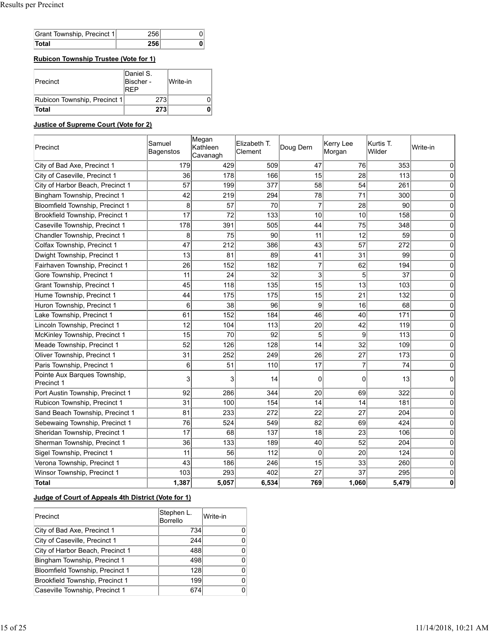| Grant Township, Precinct 1 |  |
|----------------------------|--|
| otal                       |  |

**Rubicon Township Trustee (Vote for 1)**

| <b>Total</b>                 | 273                                  |            |  |
|------------------------------|--------------------------------------|------------|--|
| Rubicon Township, Precinct 1 | 273                                  |            |  |
| Precinct                     | Daniel S.<br>Bischer -<br><b>REP</b> | iWrite-in∶ |  |

# **Justice of Supreme Court (Vote for 2)**

| Precinct                                   | Samuel<br>Bagenstos | Megan<br>Kathleen<br>Cavanagh | Elizabeth T.<br>Clement | Doug Dern      | Kerry Lee<br>Morgan | Kurtis T.<br>Wilder | Write-in |
|--------------------------------------------|---------------------|-------------------------------|-------------------------|----------------|---------------------|---------------------|----------|
| City of Bad Axe, Precinct 1                | 179                 | 429                           | 509                     | 47             | 76                  | 353                 | 0        |
| City of Caseville, Precinct 1              | 36                  | 178                           | 166                     | 15             | 28                  | 113                 | 0        |
| City of Harbor Beach, Precinct 1           | 57                  | 199                           | 377                     | 58             | 54                  | 261                 | 0        |
| Bingham Township, Precinct 1               | 42                  | 219                           | 294                     | 78             | 71                  | 300                 | C        |
| Bloomfield Township, Precinct 1            | 8                   | 57                            | 70                      | $\overline{7}$ | 28                  | 90                  | 0        |
| Brookfield Township, Precinct 1            | 17                  | 72                            | 133                     | 10             | 10                  | 158                 | 0        |
| Caseville Township, Precinct 1             | 178                 | 391                           | 505                     | 44             | 75                  | 348                 | 0        |
| Chandler Township, Precinct 1              | 8                   | 75                            | 90                      | 11             | 12                  | 59                  | $\Omega$ |
| Colfax Township, Precinct 1                | 47                  | 212                           | 386                     | 43             | 57                  | 272                 | 0        |
| Dwight Township, Precinct 1                | 13                  | 81                            | 89                      | 41             | 31                  | 99                  | 0        |
| Fairhaven Township, Precinct 1             | 26                  | 152                           | 182                     | $\overline{7}$ | 62                  | 194                 | $\Omega$ |
| Gore Township, Precinct 1                  | 11                  | 24                            | 32                      | 3              | 5                   | 37                  | $\Omega$ |
| <b>Grant Township, Precinct 1</b>          | 45                  | 118                           | 135                     | 15             | 13                  | 103                 | C        |
| Hume Township, Precinct 1                  | 44                  | 175                           | 175                     | 15             | 21                  | 132                 | 0        |
| Huron Township, Precinct 1                 | 6                   | 38                            | 96                      | 9              | 16                  | 68                  | C        |
| Lake Township, Precinct 1                  | 61                  | 152                           | 184                     | 46             | 40                  | 171                 | 0        |
| Lincoln Township, Precinct 1               | 12                  | 104                           | 113                     | 20             | 42                  | 119                 | $\Omega$ |
| McKinley Township, Precinct 1              | 15                  | 70                            | 92                      | 5              | 9                   | 113                 | 0        |
| Meade Township, Precinct 1                 | 52                  | 126                           | 128                     | 14             | 32                  | 109                 | 0        |
| Oliver Township, Precinct 1                | 31                  | 252                           | 249                     | 26             | 27                  | 173                 | 0        |
| Paris Township, Precinct 1                 | 6                   | 51                            | 110                     | 17             | $\overline{7}$      | 74                  | $\Omega$ |
| Pointe Aux Barques Township,<br>Precinct 1 | 3                   | 3                             | 14                      | 0              | 0                   | 13                  | 0        |
| Port Austin Township, Precinct 1           | 92                  | 286                           | 344                     | 20             | 69                  | 322                 | $\Omega$ |
| Rubicon Township, Precinct 1               | 31                  | 100                           | 154                     | 14             | 14                  | 181                 | 0        |
| Sand Beach Township, Precinct 1            | 81                  | 233                           | 272                     | 22             | 27                  | 204                 | 0        |
| Sebewaing Township, Precinct 1             | 76                  | 524                           | 549                     | 82             | 69                  | 424                 | $\Omega$ |
| Sheridan Township, Precinct 1              | 17                  | 68                            | 137                     | 18             | 23                  | 106                 | $\Omega$ |
| Sherman Township, Precinct 1               | 36                  | 133                           | 189                     | 40             | 52                  | 204                 | $\Omega$ |
| Sigel Township, Precinct 1                 | 11                  | 56                            | 112                     | $\Omega$       | 20                  | 124                 | 0        |
| Verona Township, Precinct 1                | 43                  | 186                           | 246                     | 15             | 33                  | 260                 | 0        |
| Winsor Township, Precinct 1                | 103                 | 293                           | 402                     | 27             | 37                  | 295                 | 0        |
| Total                                      | 1,387               | 5,057                         | 6,534                   | 769            | 1,060               | 5,479               | 0        |

#### **Judge of Court of Appeals 4th District (Vote for 1)**

| Precinct                         | Stephen L.<br><b>Borrello</b> | Write-in |
|----------------------------------|-------------------------------|----------|
| City of Bad Axe, Precinct 1      | 734                           |          |
| City of Caseville, Precinct 1    | 244                           | 0        |
| City of Harbor Beach, Precinct 1 | 488                           |          |
| Bingham Township, Precinct 1     | 498                           | U.       |
| Bloomfield Township, Precinct 1  | 128                           | U        |
| Brookfield Township, Precinct 1  | 199                           | 0        |
| Caseville Township, Precinct 1   | 674                           | 0        |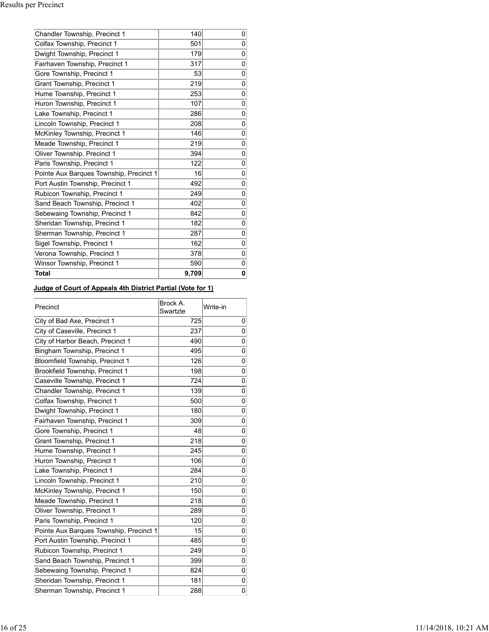| Chandler Township, Precinct 1           | 140   | 0 |
|-----------------------------------------|-------|---|
| Colfax Township, Precinct 1             | 501   | 0 |
| Dwight Township, Precinct 1             | 179   | 0 |
| Fairhaven Township, Precinct 1          | 317   | 0 |
| Gore Township, Precinct 1               | 53    | 0 |
| Grant Township, Precinct 1              | 219   | 0 |
| Hume Township, Precinct 1               | 253   | 0 |
| Huron Township, Precinct 1              | 107   | 0 |
| Lake Township, Precinct 1               | 286   | 0 |
| Lincoln Township, Precinct 1            | 208   | 0 |
| McKinley Township, Precinct 1           | 146   | 0 |
| Meade Township, Precinct 1              | 219   | 0 |
| Oliver Township, Precinct 1             | 394   | 0 |
| Paris Township, Precinct 1              | 122   | 0 |
| Pointe Aux Barques Township, Precinct 1 | 16    | 0 |
| Port Austin Township, Precinct 1        | 492   | 0 |
| Rubicon Township, Precinct 1            | 249   | 0 |
| Sand Beach Township, Precinct 1         | 402   | 0 |
| Sebewaing Township, Precinct 1          | 842   | 0 |
| Sheridan Township, Precinct 1           | 182   | 0 |
| Sherman Township, Precinct 1            | 287   | 0 |
| Sigel Township, Precinct 1              | 162   | 0 |
| Verona Township, Precinct 1             | 378   | 0 |
| Winsor Township, Precinct 1             | 590   | 0 |
| Total                                   | 9,709 | 0 |

# **Judge of Court of Appeals 4th District Partial (Vote for 1)**

| Precinct                                | Brock A.<br>Swartzle | Write-in       |
|-----------------------------------------|----------------------|----------------|
| City of Bad Axe, Precinct 1             | 725                  | 0              |
| City of Caseville, Precinct 1           | 237                  | $\Omega$       |
| City of Harbor Beach, Precinct 1        | 490                  | $\overline{0}$ |
| Bingham Township, Precinct 1            | 495                  | 0              |
| Bloomfield Township, Precinct 1         | 126                  | 0              |
| Brookfield Township, Precinct 1         | 198                  | $\overline{0}$ |
| Caseville Township, Precinct 1          | 724                  | 0              |
| Chandler Township, Precinct 1           | 139                  | 0              |
| Colfax Township, Precinct 1             | 500                  | 0              |
| Dwight Township, Precinct 1             | 180                  | 0              |
| Fairhaven Township, Precinct 1          | 309                  | 0              |
| Gore Township, Precinct 1               | 48                   | $\Omega$       |
| Grant Township, Precinct 1              | 218                  | 0              |
| Hume Township, Precinct 1               | 245                  | 0              |
| Huron Township, Precinct 1              | 106                  | 0              |
| Lake Township, Precinct 1               | 284                  | 0              |
| Lincoln Township, Precinct 1            | 210                  | 0              |
| McKinley Township, Precinct 1           | 150                  | 0              |
| Meade Township, Precinct 1              | 218                  | 0              |
| Oliver Township, Precinct 1             | 289                  | 0              |
| Paris Township, Precinct 1              | 120                  | 0              |
| Pointe Aux Barques Township, Precinct 1 | 15                   | 0              |
| Port Austin Township, Precinct 1        | 485                  | 0              |
| Rubicon Township, Precinct 1            | 249                  | 0              |
| Sand Beach Township, Precinct 1         | 399                  | 0              |
| Sebewaing Township, Precinct 1          | 824                  | 0              |
| Sheridan Township, Precinct 1           | 181                  | 0              |
| Sherman Township, Precinct 1            | 288                  | 0              |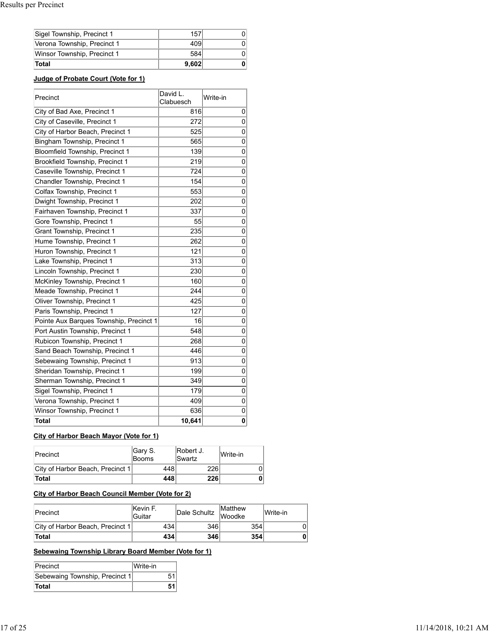| Sigel Township, Precinct 1  | 157   |  |
|-----------------------------|-------|--|
| Verona Township, Precinct 1 | 409   |  |
| Winsor Township, Precinct 1 | 584   |  |
| Total                       | 9.602 |  |

# **Judge of Probate Court (Vote for 1)**

| Precinct                                | David L.<br>Clabuesch | Write-in       |  |
|-----------------------------------------|-----------------------|----------------|--|
| City of Bad Axe, Precinct 1             | 816                   | 0              |  |
| City of Caseville, Precinct 1           | 272                   | 0              |  |
| City of Harbor Beach, Precinct 1        | 525                   | 0              |  |
| Bingham Township, Precinct 1            | 565                   | 0              |  |
| <b>Bloomfield Township, Precinct 1</b>  | 139                   | $\overline{0}$ |  |
| Brookfield Township, Precinct 1         | 219                   | 0              |  |
| Caseville Township, Precinct 1          | 724                   | 0              |  |
| Chandler Township, Precinct 1           | 154                   | 0              |  |
| Colfax Township, Precinct 1             | 553                   | 0              |  |
| Dwight Township, Precinct 1             | 202                   | 0              |  |
| Fairhaven Township, Precinct 1          | 337                   | 0              |  |
| Gore Township, Precinct 1               | 55                    | 0              |  |
| Grant Township, Precinct 1              | 235                   | 0              |  |
| Hume Township, Precinct 1               | 262                   | 0              |  |
| Huron Township, Precinct 1              | 121                   | 0              |  |
| Lake Township, Precinct 1               | 313                   | 0              |  |
| Lincoln Township, Precinct 1            | 230                   | 0              |  |
| McKinley Township, Precinct 1           | 160                   | 0              |  |
| Meade Township, Precinct 1              | 244                   | $\overline{0}$ |  |
| Oliver Township, Precinct 1             | 425                   | 0              |  |
| Paris Township, Precinct 1              | 127                   | 0              |  |
| Pointe Aux Barques Township, Precinct 1 | 16                    | $\overline{0}$ |  |
| Port Austin Township, Precinct 1        | 548                   | 0              |  |
| Rubicon Township, Precinct 1            | 268                   | $\overline{0}$ |  |
| Sand Beach Township, Precinct 1         | 446                   | 0              |  |
| Sebewaing Township, Precinct 1          | 913                   | $\overline{0}$ |  |
| Sheridan Township, Precinct 1           | 199                   | 0              |  |
| Sherman Township, Precinct 1            | 349                   | 0              |  |
| Sigel Township, Precinct 1              | 179                   | 0              |  |
| Verona Township, Precinct 1             | 409                   | 0              |  |
| Winsor Township, Precinct 1             | 636                   | 0              |  |
| <b>Total</b>                            | 10,641                | 0              |  |

# **City of Harbor Beach Mayor (Vote for 1)**

| Precinct                         | Gary S.<br><b>Booms</b> | <b>Robert J.</b><br>ISwartz | Write-in |
|----------------------------------|-------------------------|-----------------------------|----------|
| City of Harbor Beach, Precinct 1 | 448                     | 226                         |          |
| <b>Total</b>                     | 448                     | 226                         |          |

# **City of Harbor Beach Council Member (Vote for 2)**

| Precinct                         | <b>Kevin F.</b><br>lGuitar | Dale Schultz | <b>IMatthew</b><br><b>Woodke</b> | Write-in |
|----------------------------------|----------------------------|--------------|----------------------------------|----------|
| City of Harbor Beach, Precinct 1 | 434                        | 346          | 354 <sub>1</sub>                 |          |
| <b>Total</b>                     | 434                        | 346          | 354                              |          |

# **Sebewaing Township Library Board Member (Vote for 1)**

| Precinct                       | Write-in |  |
|--------------------------------|----------|--|
| Sebewaing Township, Precinct 1 |          |  |
| <b>Total</b>                   |          |  |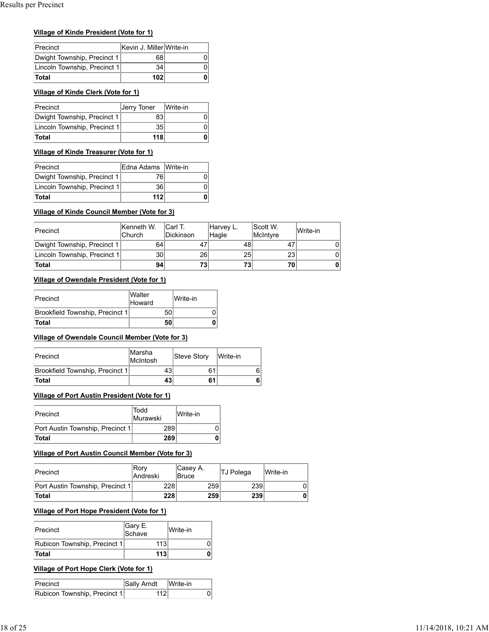# **Village of Kinde President (Vote for 1)**

| Precinct                     | Kevin J. Miller Write-in |  |
|------------------------------|--------------------------|--|
| Dwight Township, Precinct 1  | 681                      |  |
| Lincoln Township, Precinct 1 | 34 l                     |  |
| <b>Total</b>                 | 102                      |  |

# **Village of Kinde Clerk (Vote for 1)**

| Precinct                     | Jerry Toner   Write-in |  |
|------------------------------|------------------------|--|
| Dwight Township, Precinct 1  | 83                     |  |
| Lincoln Township, Precinct 1 | 35 <sub>1</sub>        |  |
| <b>Total</b>                 | 118                    |  |

# **Village of Kinde Treasurer (Vote for 1)**

| Precinct                     | IEdna Adams IWrite-in |  |
|------------------------------|-----------------------|--|
| Dwight Township, Precinct 1  | 761                   |  |
| Lincoln Township, Precinct 1 | 36                    |  |
| <b>Total</b>                 | 112                   |  |

# **Village of Kinde Council Member (Vote for 3)**

| τοται                                        | 1101                 |         |                  | U  |                    |    |                      |          |   |
|----------------------------------------------|----------------------|---------|------------------|----|--------------------|----|----------------------|----------|---|
| Village of Kinde Treasurer (Vote for 1)      |                      |         |                  |    |                    |    |                      |          |   |
| Precinct                                     | Edna Adams           |         | Write-in         |    |                    |    |                      |          |   |
| Dwight Township, Precinct 1                  | 76                   |         |                  |    |                    |    |                      |          |   |
| Lincoln Township, Precinct 1                 | 36                   |         |                  | 0  |                    |    |                      |          |   |
| Total                                        | 112                  |         |                  | 0  |                    |    |                      |          |   |
| Village of Kinde Council Member (Vote for 3) |                      |         |                  |    |                    |    |                      |          |   |
| Precinct                                     | Kenneth W.<br>Church | Carl T. | <b>Dickinson</b> |    | Harvey L.<br>Hagle |    | Scott W.<br>McIntyre | Write-in |   |
| Dwight Township, Precinct 1                  | 64                   |         |                  | 47 |                    | 48 | 47                   |          | 0 |
| Lincoln Township, Precinct 1                 | 30                   |         |                  | 26 |                    | 25 | 23                   |          | 0 |
| Total                                        | 94                   |         |                  | 73 |                    | 73 | 70                   |          | 0 |
| Village of Owendale President (Vote for 1)   |                      |         |                  |    |                    |    |                      |          |   |
| Precinct                                     | Walter<br>Howard     |         | Write-in         |    |                    |    |                      |          |   |
| Brookfield Township, Precinct 1              |                      | 50      |                  |    | 0                  |    |                      |          |   |
| Total                                        |                      | 50      |                  |    | 0                  |    |                      |          |   |

# **Village of Owendale President (Vote for 1)**

| Precinct                        | <b>Walter</b><br>Howard | Write-in |
|---------------------------------|-------------------------|----------|
| Brookfield Township, Precinct 1 | 50                      |          |
| <b>Total</b>                    | 50                      |          |

# **Village of Owendale Council Member (Vote for 3)**

|                                  |                                                                    | 26                                                                                                      |                                                 | 25                             |          |
|----------------------------------|--------------------------------------------------------------------|---------------------------------------------------------------------------------------------------------|-------------------------------------------------|--------------------------------|----------|
|                                  |                                                                    | 73                                                                                                      |                                                 | 73                             |          |
|                                  |                                                                    |                                                                                                         |                                                 |                                |          |
| Walter<br>Howard                 |                                                                    | Write-in                                                                                                |                                                 |                                |          |
|                                  | 50                                                                 |                                                                                                         | 0                                               |                                |          |
|                                  | 50                                                                 |                                                                                                         | 0                                               |                                |          |
| Marsha<br>McIntosh               |                                                                    |                                                                                                         |                                                 |                                |          |
|                                  | 43                                                                 |                                                                                                         |                                                 |                                | 6        |
|                                  | 43                                                                 |                                                                                                         |                                                 |                                | 6        |
|                                  |                                                                    |                                                                                                         |                                                 |                                |          |
| Todd                             |                                                                    | Write-in                                                                                                |                                                 |                                |          |
| Murawski                         |                                                                    |                                                                                                         |                                                 |                                |          |
| Port Austin Township, Precinct 1 | 289                                                                |                                                                                                         | 0                                               |                                |          |
|                                  | Brookfield Township, Precinct 1<br>Brookfield Township, Precinct 1 | 30<br>94<br>Village of Owendale President (Vote for 1)<br>Village of Port Austin President (Vote for 1) | Village of Owendale Council Member (Vote for 3) | <b>Steve Story</b><br>61<br>61 | Write-in |

# **Village of Port Austin President (Vote for 1)**

| Precinct                         | Todd<br>Murawski | Write-in |
|----------------------------------|------------------|----------|
| Port Austin Township, Precinct 1 | 289              |          |
| Total                            | 289              |          |

# **Village of Port Austin Council Member (Vote for 3)**

| Brookfield Township, Precinct 1                      |                   | 43  |                          | 61  | 6         |          |
|------------------------------------------------------|-------------------|-----|--------------------------|-----|-----------|----------|
| Total                                                |                   | 43  |                          | 61  | 6         |          |
| <b>Village of Port Austin President (Vote for 1)</b> |                   |     |                          |     |           |          |
| Precinct                                             | Todd<br>Murawski  |     | Write-in                 |     |           |          |
| Port Austin Township, Precinct 1                     |                   | 289 |                          | 0   |           |          |
| Total                                                |                   | 289 |                          | 0   |           |          |
| Village of Port Austin Council Member (Vote for 3)   |                   |     |                          |     |           |          |
| Precinct                                             | Rory<br>Andreski  |     | Casey A.<br><b>Bruce</b> |     | TJ Polega | Write-in |
| Port Austin Township, Precinct 1                     |                   | 228 |                          | 259 | 239       | 0        |
| <b>Total</b>                                         |                   | 228 |                          | 259 | 239       | 0        |
| <b>Village of Port Hope President (Vote for 1)</b>   |                   |     |                          |     |           |          |
| Precinct                                             | Gary E.<br>Schave |     | Write-in                 |     |           |          |
| Rubicon Township, Precinct 1                         | 113               |     |                          | 0   |           |          |
| Total                                                | 113               |     |                          | 0   |           |          |
| <b>Village of Port Hope Clerk (Vote for 1)</b>       |                   |     |                          |     |           |          |
| Precinct                                             | Sally Arndt       |     | Write-in                 |     |           |          |
| Rubicon Township, Precinct 1                         | 112               |     |                          | 0   |           |          |
|                                                      |                   |     |                          |     |           |          |

# **Village of Port Hope President (Vote for 1)**

| Precinct                     | Gary E.<br>Schave | lWrite-in |
|------------------------------|-------------------|-----------|
| Rubicon Township, Precinct 1 | 113               |           |
| <b>Total</b>                 | 113               |           |

# **Village of Port Hope Clerk (Vote for 1)**

| <b>Precinct</b>              | Sally Arndt | Write-in |  |
|------------------------------|-------------|----------|--|
| Rubicon Township, Precinct 1 |             |          |  |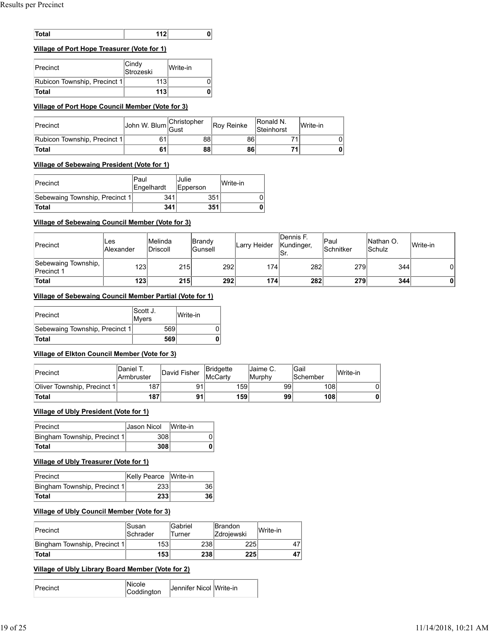| าtal | .<br>- - - |  |
|------|------------|--|

## **Village of Port Hope Treasurer (Vote for 1)**

| <b>Total</b>                                                 | 112                |     | 0                   |     |
|--------------------------------------------------------------|--------------------|-----|---------------------|-----|
| <u>Village of Port Hope Treasurer (Vote for 1)</u>           |                    |     |                     |     |
| Precinct                                                     | Cindy<br>Strozeski |     | Write-in            |     |
| Rubicon Township, Precinct 1                                 | 113                |     | 0                   |     |
| Total                                                        | 113                |     | 0                   |     |
| Village of Port Hope Council Member (Vote for 3)<br>Precinct | John W. Blum       |     | Christopher<br>Gust | Rc  |
| Rubicon Township, Precinct 1                                 | 61                 |     | 88                  |     |
| Total                                                        | 61                 |     | 88                  |     |
| Village of Sebewaing President (Vote for 1)                  |                    |     |                     |     |
| Precinct                                                     | Paul<br>Engelhardt |     | Julie<br>Epperson   |     |
| Sebewaing Township, Precinct 1                               |                    | 341 |                     | 351 |
|                                                              |                    |     |                     |     |

#### **Village of Port Hope Council Member (Vote for 3)**

| <b>Precinct</b>              | John W. Blum Gust | Christopher | <b>Rov Reinke</b> | <b>Ronald N.</b><br>Steinhorst | Write-in |
|------------------------------|-------------------|-------------|-------------------|--------------------------------|----------|
| Rubicon Township, Precinct 1 |                   | 88          | 86                |                                |          |
| Total                        |                   | 88          | 86                |                                |          |

#### **Village of Sebewaing President (Vote for 1)**

| Precinct                       | lPaul<br>Engelhardt | IJulie<br>Epperson | Write-in |
|--------------------------------|---------------------|--------------------|----------|
| Sebewaing Township, Precinct 1 | 341                 | 351                |          |
| <b>Total</b>                   | 341                 | 351                |          |

#### **Village of Sebewaing Council Member (Vote for 3)**

| Precinct                                 | ∣Les<br>Alexander | <b>IMelinda</b><br><b>IDriscoll</b> | Brandy<br><b>Gunsell</b> | Larry Heider | lDennis F.<br>Kundinger,<br>lSr. | <b>Paul</b><br>Schnitker | Nathan O.<br><b>Schulz</b> | Write-in |
|------------------------------------------|-------------------|-------------------------------------|--------------------------|--------------|----------------------------------|--------------------------|----------------------------|----------|
| Sebewaing Township,<br><b>Precinct 1</b> | 123               | 215                                 | 292                      | 174          | 282                              | 279                      | 344                        | 01       |
| Total                                    | 123               | 215                                 | 292                      | 174          | 282                              | 279                      | 344                        | 0        |

#### **Village of Sebewaing Council Member Partial (Vote for 1)**

| Precinct                       | Scott J.<br>Myers | lWrite-in |
|--------------------------------|-------------------|-----------|
| Sebewaing Township, Precinct 1 | 569               |           |
| <b>Total</b>                   | 569               |           |

#### **Village of Elkton Council Member (Vote for 3)**

| <b>Precinct</b>             | <b>IDaniel T.</b><br><b>Armbruster</b> | David Fisher | <b>Bridgette</b><br><b>IMcCarty</b> | lJaime C.<br>lMurphy | lGail<br><b>Schember</b> | lWrite-in |
|-----------------------------|----------------------------------------|--------------|-------------------------------------|----------------------|--------------------------|-----------|
| Oliver Township, Precinct 1 | 187                                    |              | 159                                 | 99                   | 108                      |           |
| <b>Total</b>                | 187                                    | 91           | 159                                 | 99                   | 108                      |           |

#### **Village of Ubly President (Vote for 1)**

| Precinct                     | <b>Jason Nicol</b> | Write-in |
|------------------------------|--------------------|----------|
| Bingham Township, Precinct 1 | 3081               |          |
| <b>Total</b>                 | 308 <sub>1</sub>   |          |

#### **Village of Ubly Treasurer (Vote for 1)**

| Precinct                     | Kelly Pearce Write-in |                 |
|------------------------------|-----------------------|-----------------|
| Bingham Township, Precinct 1 | 2331                  | 36 l            |
| <b>Total</b>                 | 233 <sub>1</sub>      | 36 <sup>1</sup> |

#### **Village of Ubly Council Member (Vote for 3)**

| Precinct                     | lSusan<br><b>ISchrader</b> | lGabriel<br>Turner | <b>IBrandon</b><br><b>Zdrojewski</b> | <b>IWrite-in</b> |
|------------------------------|----------------------------|--------------------|--------------------------------------|------------------|
| Bingham Township, Precinct 1 | 153                        | 238                | 225                                  | 47'              |
| Total                        | 153                        | 238                | 225                                  | 47               |

#### **Village of Ubly Library Board Member (Vote for 2)**

| Nicole<br>Precinct<br>Coddington | Uennifer Nicol Write-in |  |
|----------------------------------|-------------------------|--|
|----------------------------------|-------------------------|--|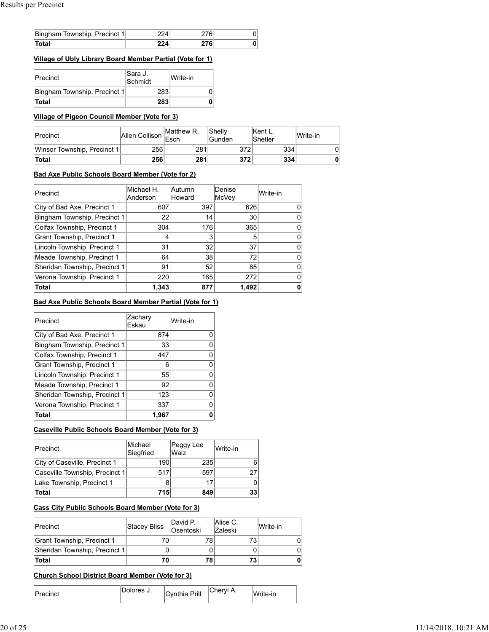| Bingham Township, Precinct 1 | ′4 |  |
|------------------------------|----|--|
| otal                         |    |  |

# **Village of Ubly Library Board Member Partial (Vote for 1)**

| Precinct                     | Sara J.<br>Schmidt | Write-in |
|------------------------------|--------------------|----------|
| Bingham Township, Precinct 1 | 283                |          |
| <b>Total</b>                 | 283                |          |

# **Village of Pigeon Council Member (Vote for 3)**

| Precinct                    | Allen Collison Esch | <b>IMatthew R.</b> | <b>Shelly</b><br><b>Gunden</b> | <b>Kent L.</b><br>Shetler | lWrite-in |
|-----------------------------|---------------------|--------------------|--------------------------------|---------------------------|-----------|
| Winsor Township, Precinct 1 | 256                 | 281                | 372                            | 334                       |           |
| Total                       | 256                 | 281                | 372                            | 334                       |           |

# **Bad Axe Public Schools Board Member (Vote for 2)**

| Precinct                      | Michael H.<br>Anderson | lAutumn<br>Howard | Denise<br><b>McVey</b> | Write-in |
|-------------------------------|------------------------|-------------------|------------------------|----------|
| City of Bad Axe, Precinct 1   | 607                    | 397               | 626                    |          |
| Bingham Township, Precinct 1  | 22                     | 14                | 30                     |          |
| Colfax Township, Precinct 1   | 304                    | 176               | 365                    |          |
| Grant Township, Precinct 1    |                        |                   |                        |          |
| Lincoln Township, Precinct 1  | 31                     | 32                | 37                     |          |
| Meade Township, Precinct 1    | 64                     | 38                | 72                     |          |
| Sheridan Township, Precinct 1 | 91                     | 52                | 85                     |          |
| Verona Township, Precinct 1   | 220                    | 165               | 272                    |          |
| <b>Total</b>                  | 1,343                  | 877               | 1,492                  |          |

# **Bad Axe Public Schools Board Member Partial (Vote for 1)**

| Precinct                      | Zachary<br>Eskau | Write-in |
|-------------------------------|------------------|----------|
| City of Bad Axe, Precinct 1   | 874              |          |
| Bingham Township, Precinct 1  | 33               |          |
| Colfax Township, Precinct 1   | 447              |          |
| Grant Township, Precinct 1    | 6                |          |
| Lincoln Township, Precinct 1  | 55               |          |
| Meade Township, Precinct 1    | 92               |          |
| Sheridan Township, Precinct 1 | 123              |          |
| Verona Township, Precinct 1   | 337              |          |
| Total                         | 1,967            |          |

# **Caseville Public Schools Board Member (Vote for 3)**

| Precinct                       | lMichael<br>Siegfried | Peggy Lee<br>Walz | Write-in        |
|--------------------------------|-----------------------|-------------------|-----------------|
| City of Caseville, Precinct 1  | 190                   | 235               | 6               |
| Caseville Township, Precinct 1 | 517                   | 597               |                 |
| Lake Township, Precinct 1      |                       |                   |                 |
| Total                          | 715                   | 849               | 33 <sub>1</sub> |

# **Cass City Public Schools Board Member (Vote for 3)**

| Precinct                      | Stacey Bliss | David P.<br>Osentoski | Alice C.<br><b>Zaleski</b> | Write-in |
|-------------------------------|--------------|-----------------------|----------------------------|----------|
| Grant Township, Precinct 1    | 70           |                       |                            |          |
| Sheridan Township, Precinct 1 |              |                       |                            |          |
| Total                         | 70           | 78                    |                            |          |

# **Church School District Board Member (Vote for 3)**

|  | Dolores J. | Cvnthia Prill | ;heryl A. | 'Write-in |
|--|------------|---------------|-----------|-----------|
|--|------------|---------------|-----------|-----------|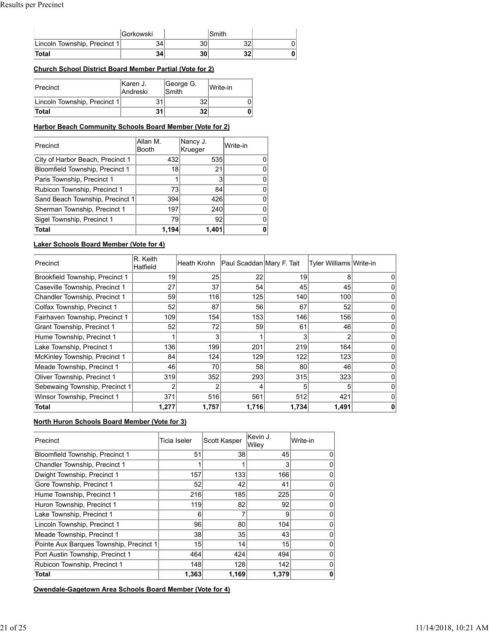|                              | <b>IGorkowski</b> |    | Smith |  |
|------------------------------|-------------------|----|-------|--|
| Lincoln Township, Precinct 1 | 34.               | 30 | 32    |  |
| <b>Total</b>                 | 34                | 30 | 32    |  |

## **Church School District Board Member Partial (Vote for 2)**

| Precinct                     | IKaren J.<br><b>Andreski</b> | George G.<br><b>Smith</b> | Write-in |
|------------------------------|------------------------------|---------------------------|----------|
| Lincoln Township, Precinct 1 | 31                           | 32                        |          |
| Total                        | 31                           | 32                        |          |

#### **Harbor Beach Community Schools Board Member (Vote for 2)**

| Precinct                         | Allan M.<br><b>Booth</b> | Nancy J.<br>Krueger | lWrite-in |
|----------------------------------|--------------------------|---------------------|-----------|
| City of Harbor Beach, Precinct 1 | 432                      | 535                 | 0         |
| Bloomfield Township, Precinct 1  | 18 <sup>1</sup>          | 21                  |           |
| Paris Township, Precinct 1       |                          | 3                   | $^{(1)}$  |
| Rubicon Township, Precinct 1     | 73                       | 84                  | O         |
| Sand Beach Township, Precinct 1  | 394                      | 426                 | 0         |
| Sherman Township, Precinct 1     | 197                      | 240                 | Ω         |
| Sigel Township, Precinct 1       | 79                       | 92                  | O         |
| Total                            | 1.194                    | 1,401               | 0         |

#### **Laker Schools Board Member (Vote for 4)**

| Precinct                          | R. Keith<br>Hatfield | lHeath Krohn | Paul Scaddan Mary F. Tait |       | Tyler Williams Write-in |  |
|-----------------------------------|----------------------|--------------|---------------------------|-------|-------------------------|--|
| Brookfield Township, Precinct 1   | 19                   | 25           | 22                        | 19    |                         |  |
| Caseville Township, Precinct 1    | 27                   | 37           | 54                        | 45    | 45                      |  |
| Chandler Township, Precinct 1     | 59                   | 116          | 125                       | 140   | 100                     |  |
| Colfax Township, Precinct 1       | 52                   | 87           | 56                        | 67    | 52                      |  |
| Fairhaven Township, Precinct 1    | 109                  | 154          | 153                       | 146   | 156                     |  |
| <b>Grant Township, Precinct 1</b> | 52                   | 72           | 59                        | 61    | 46                      |  |
| Hume Township, Precinct 1         |                      |              |                           |       |                         |  |
| Lake Township, Precinct 1         | 136                  | 199          | 201                       | 219   | 164                     |  |
| McKinley Township, Precinct 1     | 84                   | 124          | 129                       | 122   | 123                     |  |
| Meade Township, Precinct 1        | 46                   | 70           | 58                        | 80    | 46                      |  |
| Oliver Township, Precinct 1       | 319                  | 352          | 293                       | 315   | 323                     |  |
| Sebewaing Township, Precinct 1    |                      |              |                           |       |                         |  |
| Winsor Township, Precinct 1       | 371                  | 516          | 561                       | 512   | 421                     |  |
| Total                             | 1,277                | 1,757        | 1,716                     | 1,734 | 1,491                   |  |

#### **North Huron Schools Board Member (Vote for 3)**

| Precinct                                | Ticia Iseler | Scott Kasper    | lKevin J.<br>Wiley | Write-in |
|-----------------------------------------|--------------|-----------------|--------------------|----------|
| Bloomfield Township, Precinct 1         | 51           | 38              | 45                 |          |
| Chandler Township, Precinct 1           |              |                 | 3                  |          |
| Dwight Township, Precinct 1             | 157          | 133             | 166                |          |
| Gore Township, Precinct 1               | 52           | 42              | 41                 |          |
| Hume Township, Precinct 1               | 216          | 185             | 225                |          |
| Huron Township, Precinct 1              | 119          | 82              | 92                 |          |
| Lake Township, Precinct 1               | 6            |                 | 9                  |          |
| Lincoln Township, Precinct 1            | 96           | 80              | 104                |          |
| Meade Township, Precinct 1              | 38           | 35 <sub>1</sub> | 43                 |          |
| Pointe Aux Barques Township, Precinct 1 | 15           | 14              | 15                 |          |
| Port Austin Township, Precinct 1        | 464          | 424             | 494                |          |
| Rubicon Township, Precinct 1            | 148          | 128             | 142                |          |
| Total                                   | 1,363        | 1,169           | 1,379              |          |

**Owendale-Gagetown Area Schools Board Member (Vote for 4)**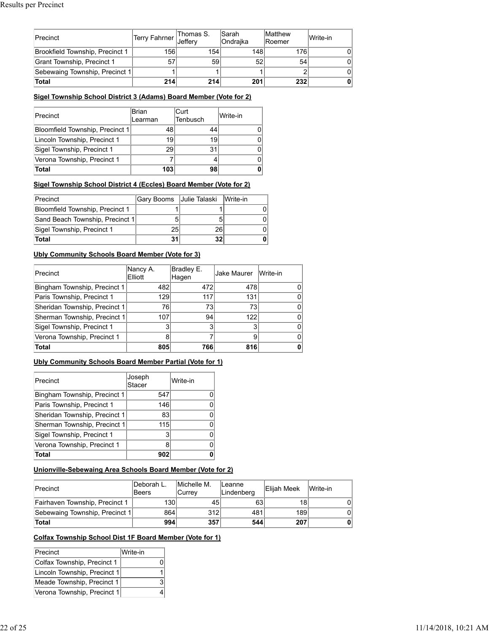| <b>Precinct</b>                 | Terry Fahrner Jeffery | Thomas S. | <b>Sarah</b><br>lOndraika | <b>Matthew</b><br><b>IRoemer</b> | Write-in |
|---------------------------------|-----------------------|-----------|---------------------------|----------------------------------|----------|
| Brookfield Township, Precinct 1 | 156                   | 154       | 148                       | 176                              |          |
| Grant Township, Precinct 1      | 57                    | 59        | 52                        | 54                               |          |
| Sebewaing Township, Precinct 1  |                       |           |                           |                                  |          |
| <b>Total</b>                    | 214                   | 214       | 201                       | 232                              |          |

#### **Sigel Township School District 3 (Adams) Board Member (Vote for 2)**

| Precinct                        | <b>Brian</b><br>Learman | lCurt<br><b>Tenbusch</b> | lWrite-in |
|---------------------------------|-------------------------|--------------------------|-----------|
| Bloomfield Township, Precinct 1 | 48                      |                          |           |
| Lincoln Township, Precinct 1    | 19                      | 19                       |           |
| Sigel Township, Precinct 1      | 29                      | 31                       |           |
| Verona Township, Precinct 1     |                         |                          |           |
| Total                           | 103                     | 98                       |           |

## **Sigel Township School District 4 (Eccles) Board Member (Vote for 2)**

| Precinct                        | Gary Booms Julie Talaski |    | Write-in |
|---------------------------------|--------------------------|----|----------|
| Bloomfield Township, Precinct 1 |                          |    |          |
| Sand Beach Township, Precinct 1 |                          |    |          |
| Sigel Township, Precinct 1      | 25                       |    |          |
| <b>Total</b>                    | 31                       | 32 |          |

#### **Ubly Community Schools Board Member (Vote for 3)**

| Precinct                      | Nancy A.<br>Elliott | Bradley E.<br>Hagen | <b>Jake Maurer</b> | Write-in     |
|-------------------------------|---------------------|---------------------|--------------------|--------------|
| Bingham Township, Precinct 1  | 482                 | 472                 | 478                |              |
| Paris Township, Precinct 1    | 129                 | 117                 | 131                | 0            |
| Sheridan Township, Precinct 1 | 76                  | 73                  | 73                 | 0            |
| Sherman Township, Precinct 1  | 107                 | 94                  | 122                | <sup>0</sup> |
| Sigel Township, Precinct 1    |                     |                     |                    | <sup>0</sup> |
| Verona Township, Precinct 1   |                     |                     |                    | 0            |
| <b>Total</b>                  | 805                 | 766                 | 816                | 0            |

#### **Ubly Community Schools Board Member Partial (Vote for 1)**

| Precinct                      | Joseph<br>Stacer | Write-in |
|-------------------------------|------------------|----------|
| Bingham Township, Precinct 1  | 547              |          |
| Paris Township, Precinct 1    | 146              |          |
| Sheridan Township, Precinct 1 | 83               |          |
| Sherman Township, Precinct 1  | 115              |          |
| Sigel Township, Precinct 1    | 3                |          |
| Verona Township, Precinct 1   | 8                |          |
| <b>Total</b>                  | 902              |          |

# **Unionville-Sebewaing Area Schools Board Member (Vote for 2)**

| Precinct                       | lDeborah L.<br> Beers | Michelle M.<br><b>Currev</b> | <b>ILeanne</b><br>Lindenberg | <b>Elijah Meek</b> | Write-in |
|--------------------------------|-----------------------|------------------------------|------------------------------|--------------------|----------|
| Fairhaven Township, Precinct 1 | 1301                  | 45                           | 63                           | 18                 |          |
| Sebewaing Township, Precinct 1 | 864                   | 312                          | 481                          | 189                |          |
| <b>Total</b>                   | 994                   | 357                          | 544                          | 207                |          |

# **Colfax Township School Dist 1F Board Member (Vote for 1)**

| Precinct                     | Write-in |
|------------------------------|----------|
| Colfax Township, Precinct 1  |          |
| Lincoln Township, Precinct 1 |          |
| Meade Township, Precinct 1   | 3        |
| Verona Township, Precinct 1  |          |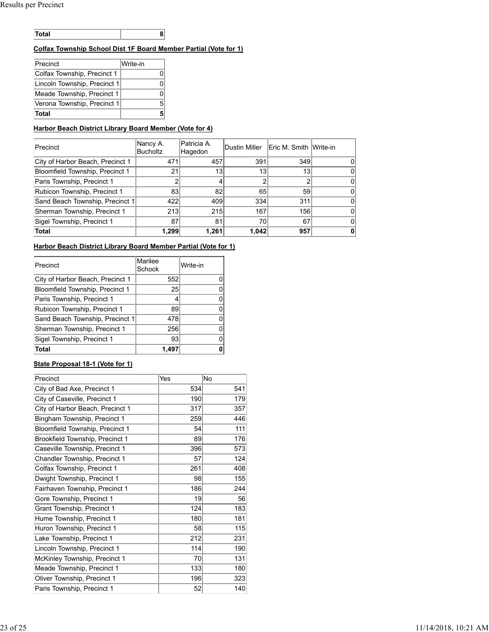| $ -$ |  |  |
|------|--|--|
|------|--|--|

## **Colfax Township School Dist 1F Board Member Partial (Vote for 1)**

| Precinct                     | Write-in |
|------------------------------|----------|
| Colfax Township, Precinct 1  | 0        |
| Lincoln Township, Precinct 1 | n        |
| Meade Township, Precinct 1   | n        |
| Verona Township, Precinct 1  | 5        |
| Total                        | 5        |

## **Harbor Beach District Library Board Member (Vote for 4)**

| Precinct                         | Nancy A.<br><b>Bucholtz</b> | lPatricia A.<br>Hagedon | Dustin Miller | Eric M. Smith Write-in |  |
|----------------------------------|-----------------------------|-------------------------|---------------|------------------------|--|
| City of Harbor Beach, Precinct 1 | 471                         | 457                     | 391           | 349                    |  |
| Bloomfield Township, Precinct 1  | 21                          | 13                      | 13            | 13 <sub>1</sub>        |  |
| Paris Township, Precinct 1       |                             |                         |               |                        |  |
| Rubicon Township, Precinct 1     | 83                          | 82                      | 65            | 59                     |  |
| Sand Beach Township, Precinct 1  | 422                         | 409                     | 334           | 311                    |  |
| Sherman Township, Precinct 1     | 213                         | 215                     | 167           | 156                    |  |
| Sigel Township, Precinct 1       | 87                          | 81                      | 70            | 67                     |  |
| Total                            | 1,299                       | 1,261                   | 1,042         | 957                    |  |

### **Harbor Beach District Library Board Member Partial (Vote for 1)**

| Precinct                         | Marilee<br>Schock | Write-in |
|----------------------------------|-------------------|----------|
| City of Harbor Beach, Precinct 1 | 552               |          |
| Bloomfield Township, Precinct 1  | 25                |          |
| Paris Township, Precinct 1       | 4                 |          |
| Rubicon Township, Precinct 1     | 89                |          |
| Sand Beach Township, Precinct 1  | 478               |          |
| Sherman Township, Precinct 1     | 256               |          |
| Sigel Township, Precinct 1       | 93                |          |
| <b>Total</b>                     |                   |          |

#### **State Proposal 18-1 (Vote for 1)**

| Precinct                               | Yes | <b>No</b> |
|----------------------------------------|-----|-----------|
| City of Bad Axe, Precinct 1            | 534 | 541       |
| City of Caseville, Precinct 1          | 190 | 179       |
| City of Harbor Beach, Precinct 1       | 317 | 357       |
| Bingham Township, Precinct 1           | 259 | 446       |
| <b>Bloomfield Township, Precinct 1</b> | 54  | 111       |
| Brookfield Township, Precinct 1        | 89  | 176       |
| Caseville Township, Precinct 1         | 396 | 573       |
| Chandler Township, Precinct 1          | 57  | 124       |
| Colfax Township, Precinct 1            | 261 | 408       |
| Dwight Township, Precinct 1            | 98  | 155       |
| Fairhaven Township, Precinct 1         | 186 | 244       |
| Gore Township, Precinct 1              | 19  | 56        |
| Grant Township, Precinct 1             | 124 | 183       |
| Hume Township, Precinct 1              | 180 | 181       |
| Huron Township, Precinct 1             | 58  | 115       |
| Lake Township, Precinct 1              | 212 | 231       |
| Lincoln Township, Precinct 1           | 114 | 190       |
| McKinley Township, Precinct 1          | 70  | 131       |
| Meade Township, Precinct 1             | 133 | 180       |
| Oliver Township, Precinct 1            | 196 | 323       |
| Paris Township, Precinct 1             | 52  | 140       |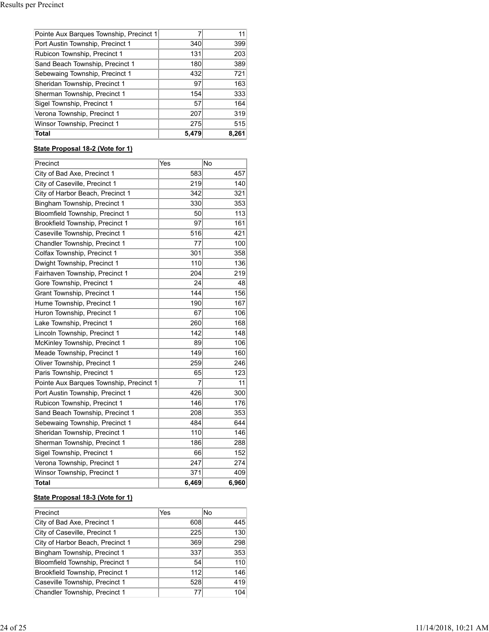| <b>Total</b>                            | 5,479 | 8,261 |
|-----------------------------------------|-------|-------|
| Winsor Township, Precinct 1             | 275   | 515   |
| Verona Township, Precinct 1             | 207   | 319   |
| Sigel Township, Precinct 1              | 57    | 164   |
| Sherman Township, Precinct 1            | 154   | 333   |
| Sheridan Township, Precinct 1           | 97    | 163   |
| Sebewaing Township, Precinct 1          | 432   | 721   |
| Sand Beach Township, Precinct 1         | 180   | 389   |
| Rubicon Township, Precinct 1            | 131   | 203   |
| Port Austin Township, Precinct 1        | 340   | 399   |
| Pointe Aux Barques Township, Precinct 1 |       |       |

# **State Proposal 18-2 (Vote for 1)**

| Precinct                                | Yes   | No    |
|-----------------------------------------|-------|-------|
| City of Bad Axe, Precinct 1             | 583   | 457   |
| City of Caseville, Precinct 1           | 219   | 140   |
| City of Harbor Beach, Precinct 1        | 342   | 321   |
| Bingham Township, Precinct 1            | 330   | 353   |
| Bloomfield Township, Precinct 1         | 50    | 113   |
| <b>Brookfield Township, Precinct 1</b>  | 97    | 161   |
| Caseville Township, Precinct 1          | 516   | 421   |
| Chandler Township, Precinct 1           | 77    | 100   |
| Colfax Township, Precinct 1             | 301   | 358   |
| Dwight Township, Precinct 1             | 110   | 136   |
| Fairhaven Township, Precinct 1          | 204   | 219   |
| Gore Township, Precinct 1               | 24    | 48    |
| Grant Township, Precinct 1              | 144   | 156   |
| Hume Township, Precinct 1               | 190   | 167   |
| Huron Township, Precinct 1              | 67    | 106   |
| Lake Township, Precinct 1               | 260   | 168   |
| Lincoln Township, Precinct 1            | 142   | 148   |
| McKinley Township, Precinct 1           | 89    | 106   |
| Meade Township, Precinct 1              | 149   | 160   |
| Oliver Township, Precinct 1             | 259   | 246   |
| Paris Township, Precinct 1              | 65    | 123   |
| Pointe Aux Barques Township, Precinct 1 | 7     | 11    |
| Port Austin Township, Precinct 1        | 426   | 300   |
| Rubicon Township, Precinct 1            | 146   | 176   |
| Sand Beach Township, Precinct 1         | 208   | 353   |
| Sebewaing Township, Precinct 1          | 484   | 644   |
| Sheridan Township, Precinct 1           | 110   | 146   |
| Sherman Township, Precinct 1            | 186   | 288   |
| Sigel Township, Precinct 1              | 66    | 152   |
| Verona Township, Precinct 1             | 247   | 274   |
| Winsor Township, Precinct 1             | 371   | 409   |
| <b>Total</b>                            | 6,469 | 6,960 |

# **State Proposal 18-3 (Vote for 1)**

| Precinct                         | Yes | lNo |
|----------------------------------|-----|-----|
| City of Bad Axe, Precinct 1      | 608 | 445 |
| City of Caseville, Precinct 1    | 225 | 130 |
| City of Harbor Beach, Precinct 1 | 369 | 298 |
| Bingham Township, Precinct 1     | 337 | 353 |
| Bloomfield Township, Precinct 1  | 54  | 110 |
| Brookfield Township, Precinct 1  | 112 | 146 |
| Caseville Township, Precinct 1   | 528 | 419 |
| Chandler Township, Precinct 1    |     | 104 |